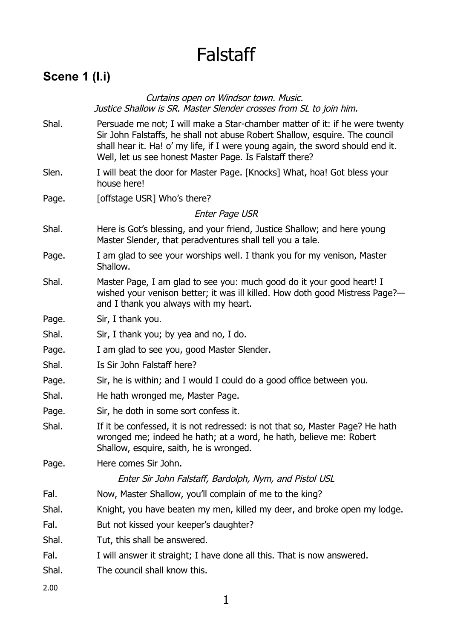# Falstaff

### **Scene 1 (I.i)**

Curtains open on Windsor town. Music. Justice Shallow is SR. Master Slender crosses from SL to join him.

- Shal. Persuade me not; I will make a Star-chamber matter of it: if he were twenty Sir John Falstaffs, he shall not abuse Robert Shallow, esquire. The council shall hear it. Ha! o' my life, if I were young again, the sword should end it. Well, let us see honest Master Page. Is Falstaff there?
- Slen. I will beat the door for Master Page. [Knocks] What, hoa! Got bless your house here!
- Page. [offstage USR] Who's there?

Enter Page USR

- Shal. Here is Got's blessing, and your friend, Justice Shallow; and here young Master Slender, that peradventures shall tell you a tale.
- Page. I am glad to see your worships well. I thank you for my venison, Master Shallow.
- Shal. Master Page, I am glad to see you: much good do it your good heart! I wished your venison better; it was ill killed. How doth good Mistress Page? and I thank you always with my heart.
- Page. Sir, I thank you.
- Shal. Sir, I thank you; by yea and no, I do.
- Page. I am glad to see you, good Master Slender.
- Shal. Is Sir John Falstaff here?
- Page. Sir, he is within; and I would I could do a good office between you.
- Shal. He hath wronged me, Master Page.
- Page. Sir, he doth in some sort confess it.
- Shal. If it be confessed, it is not redressed: is not that so, Master Page? He hath wronged me; indeed he hath; at a word, he hath, believe me: Robert Shallow, esquire, saith, he is wronged.
- Page. Here comes Sir John.

#### Enter Sir John Falstaff, Bardolph, Nym, and Pistol USL

- Fal. Now, Master Shallow, you'll complain of me to the king?
- Shal. Knight, you have beaten my men, killed my deer, and broke open my lodge.
- Fal. But not kissed your keeper's daughter?
- Shal. Tut, this shall be answered.
- Fal. I will answer it straight; I have done all this. That is now answered.
- Shal. The council shall know this.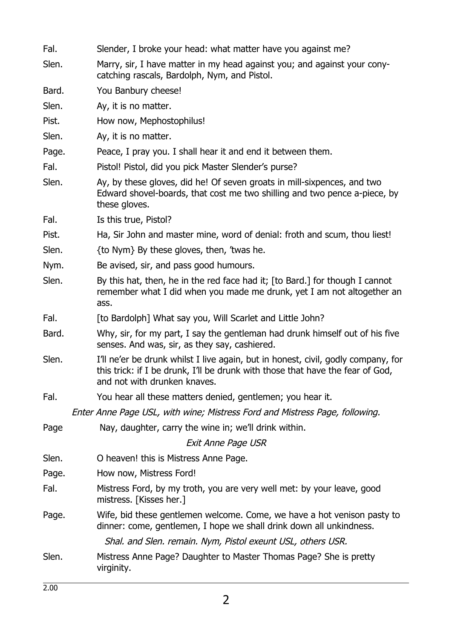| Fal.  | Slender, I broke your head: what matter have you against me?                                                                                                                                        |
|-------|-----------------------------------------------------------------------------------------------------------------------------------------------------------------------------------------------------|
| Slen. | Marry, sir, I have matter in my head against you; and against your cony-<br>catching rascals, Bardolph, Nym, and Pistol.                                                                            |
| Bard. | You Banbury cheese!                                                                                                                                                                                 |
| Slen. | Ay, it is no matter.                                                                                                                                                                                |
| Pist. | How now, Mephostophilus!                                                                                                                                                                            |
| Slen. | Ay, it is no matter.                                                                                                                                                                                |
| Page. | Peace, I pray you. I shall hear it and end it between them.                                                                                                                                         |
| Fal.  | Pistol! Pistol, did you pick Master Slender's purse?                                                                                                                                                |
| Slen. | Ay, by these gloves, did he! Of seven groats in mill-sixpences, and two<br>Edward shovel-boards, that cost me two shilling and two pence a-piece, by<br>these gloves.                               |
| Fal.  | Is this true, Pistol?                                                                                                                                                                               |
| Pist. | Ha, Sir John and master mine, word of denial: froth and scum, thou liest!                                                                                                                           |
| Slen. | {to Nym} By these gloves, then, 'twas he.                                                                                                                                                           |
| Nym.  | Be avised, sir, and pass good humours.                                                                                                                                                              |
| Slen. | By this hat, then, he in the red face had it; [to Bard.] for though I cannot<br>remember what I did when you made me drunk, yet I am not altogether an<br>ass.                                      |
| Fal.  | [to Bardolph] What say you, Will Scarlet and Little John?                                                                                                                                           |
| Bard. | Why, sir, for my part, I say the gentleman had drunk himself out of his five<br>senses. And was, sir, as they say, cashiered.                                                                       |
| Slen. | I'll ne'er be drunk whilst I live again, but in honest, civil, godly company, for<br>this trick: if I be drunk, I'll be drunk with those that have the fear of God,<br>and not with drunken knaves. |
| Fal.  | You hear all these matters denied, gentlemen; you hear it.                                                                                                                                          |
|       | Enter Anne Page USL, with wine; Mistress Ford and Mistress Page, following.                                                                                                                         |
| Page  | Nay, daughter, carry the wine in; we'll drink within.                                                                                                                                               |
|       | <b>Exit Anne Page USR</b>                                                                                                                                                                           |
| Slen. | O heaven! this is Mistress Anne Page.                                                                                                                                                               |
| Page. | How now, Mistress Ford!                                                                                                                                                                             |
| Fal.  | Mistress Ford, by my troth, you are very well met: by your leave, good<br>mistress. [Kisses her.]                                                                                                   |
| Page. | Wife, bid these gentlemen welcome. Come, we have a hot venison pasty to<br>dinner: come, gentlemen, I hope we shall drink down all unkindness.                                                      |
|       | Shal. and Slen. remain. Nym, Pistol exeunt USL, others USR.                                                                                                                                         |
| Slen. | Mistress Anne Page? Daughter to Master Thomas Page? She is pretty<br>virginity.                                                                                                                     |
|       |                                                                                                                                                                                                     |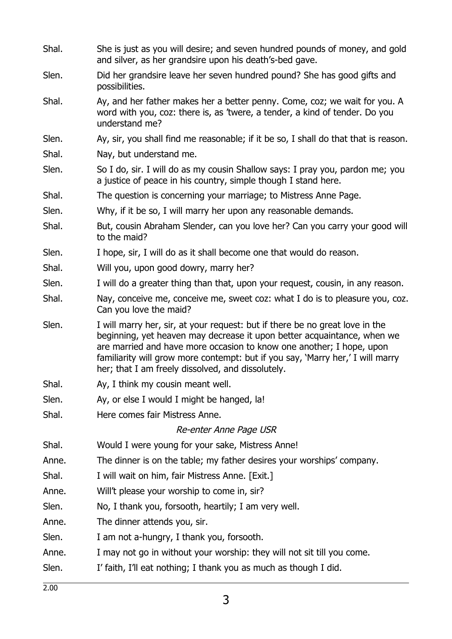| Shal. | She is just as you will desire; and seven hundred pounds of money, and gold<br>and silver, as her grandsire upon his death's-bed gave.                                                                                                                                                                                                                                 |
|-------|------------------------------------------------------------------------------------------------------------------------------------------------------------------------------------------------------------------------------------------------------------------------------------------------------------------------------------------------------------------------|
| Slen. | Did her grandsire leave her seven hundred pound? She has good gifts and<br>possibilities.                                                                                                                                                                                                                                                                              |
| Shal. | Ay, and her father makes her a better penny. Come, coz; we wait for you. A<br>word with you, coz: there is, as 'twere, a tender, a kind of tender. Do you<br>understand me?                                                                                                                                                                                            |
| Slen. | Ay, sir, you shall find me reasonable; if it be so, I shall do that that is reason.                                                                                                                                                                                                                                                                                    |
| Shal. | Nay, but understand me.                                                                                                                                                                                                                                                                                                                                                |
| Slen. | So I do, sir. I will do as my cousin Shallow says: I pray you, pardon me; you<br>a justice of peace in his country, simple though I stand here.                                                                                                                                                                                                                        |
| Shal. | The question is concerning your marriage; to Mistress Anne Page.                                                                                                                                                                                                                                                                                                       |
| Slen. | Why, if it be so, I will marry her upon any reasonable demands.                                                                                                                                                                                                                                                                                                        |
| Shal. | But, cousin Abraham Slender, can you love her? Can you carry your good will<br>to the maid?                                                                                                                                                                                                                                                                            |
| Slen. | I hope, sir, I will do as it shall become one that would do reason.                                                                                                                                                                                                                                                                                                    |
| Shal. | Will you, upon good dowry, marry her?                                                                                                                                                                                                                                                                                                                                  |
| Slen. | I will do a greater thing than that, upon your request, cousin, in any reason.                                                                                                                                                                                                                                                                                         |
| Shal. | Nay, conceive me, conceive me, sweet coz: what I do is to pleasure you, coz.<br>Can you love the maid?                                                                                                                                                                                                                                                                 |
| Slen. | I will marry her, sir, at your request: but if there be no great love in the<br>beginning, yet heaven may decrease it upon better acquaintance, when we<br>are married and have more occasion to know one another; I hope, upon<br>familiarity will grow more contempt: but if you say, 'Marry her,' I will marry<br>her; that I am freely dissolved, and dissolutely. |
| Shal. | Ay, I think my cousin meant well.                                                                                                                                                                                                                                                                                                                                      |
| Slen. | Ay, or else I would I might be hanged, la!                                                                                                                                                                                                                                                                                                                             |
| Shal. | Here comes fair Mistress Anne.                                                                                                                                                                                                                                                                                                                                         |
|       | Re-enter Anne Page USR                                                                                                                                                                                                                                                                                                                                                 |
| Shal. | Would I were young for your sake, Mistress Anne!                                                                                                                                                                                                                                                                                                                       |
| Anne. | The dinner is on the table; my father desires your worships' company.                                                                                                                                                                                                                                                                                                  |
| Shal. | I will wait on him, fair Mistress Anne. [Exit.]                                                                                                                                                                                                                                                                                                                        |
| Anne. | Will't please your worship to come in, sir?                                                                                                                                                                                                                                                                                                                            |
| Slen. | No, I thank you, forsooth, heartily; I am very well.                                                                                                                                                                                                                                                                                                                   |
| Anne. | The dinner attends you, sir.                                                                                                                                                                                                                                                                                                                                           |
| Slen. | I am not a-hungry, I thank you, forsooth.                                                                                                                                                                                                                                                                                                                              |
| Anne. | I may not go in without your worship: they will not sit till you come.                                                                                                                                                                                                                                                                                                 |
| Slen. | I' faith, I'll eat nothing; I thank you as much as though I did.                                                                                                                                                                                                                                                                                                       |

2.00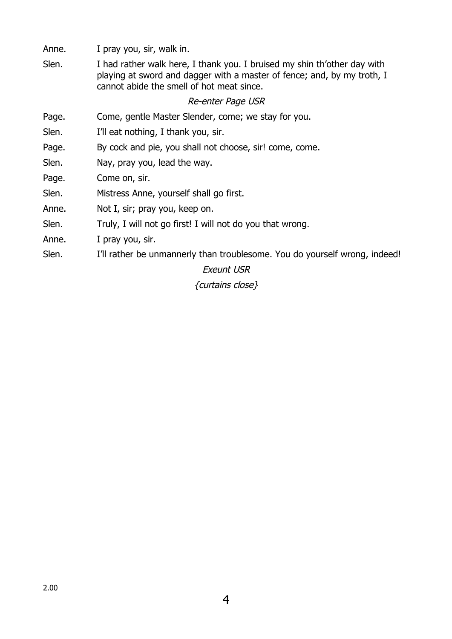Anne. I pray you, sir, walk in.

Slen. I had rather walk here, I thank you. I bruised my shin th'other day with playing at sword and dagger with a master of fence; and, by my troth, I cannot abide the smell of hot meat since.

### Re-enter Page USR

- Page. Come, gentle Master Slender, come; we stay for you.
- Slen. I'll eat nothing, I thank you, sir.
- Page. By cock and pie, you shall not choose, sir! come, come.
- Slen. Nay, pray you, lead the way.
- Page. Come on, sir.
- Slen. Mistress Anne, yourself shall go first.
- Anne. Not I, sir; pray you, keep on.
- Slen. Truly, I will not go first! I will not do you that wrong.
- Anne. I pray you, sir.
- Slen. I'll rather be unmannerly than troublesome. You do yourself wrong, indeed!

### Exeunt USR

{curtains close}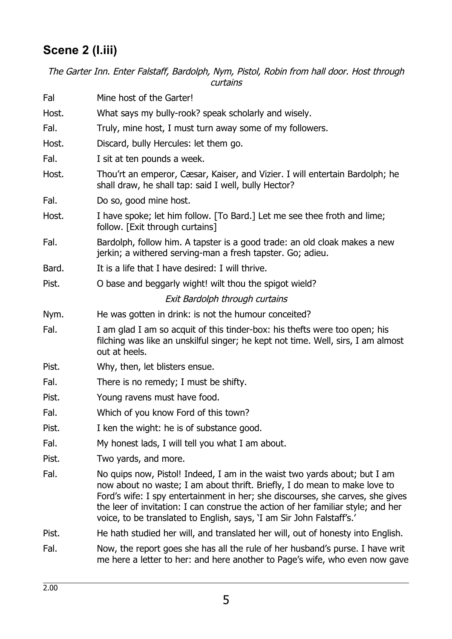## **Scene 2 (I.iii)**

The Garter Inn. Enter Falstaff, Bardolph, Nym, Pistol, Robin from hall door. Host through curtains

| Fal   | Mine host of the Garter!                                                                                                                                                                                                                                                                                                                                                                              |
|-------|-------------------------------------------------------------------------------------------------------------------------------------------------------------------------------------------------------------------------------------------------------------------------------------------------------------------------------------------------------------------------------------------------------|
| Host. | What says my bully-rook? speak scholarly and wisely.                                                                                                                                                                                                                                                                                                                                                  |
| Fal.  | Truly, mine host, I must turn away some of my followers.                                                                                                                                                                                                                                                                                                                                              |
| Host. | Discard, bully Hercules: let them go.                                                                                                                                                                                                                                                                                                                                                                 |
| Fal.  | I sit at ten pounds a week.                                                                                                                                                                                                                                                                                                                                                                           |
| Host. | Thou'rt an emperor, Cæsar, Kaiser, and Vizier. I will entertain Bardolph; he<br>shall draw, he shall tap: said I well, bully Hector?                                                                                                                                                                                                                                                                  |
| Fal.  | Do so, good mine host.                                                                                                                                                                                                                                                                                                                                                                                |
| Host. | I have spoke; let him follow. [To Bard.] Let me see thee froth and lime;<br>follow. [Exit through curtains]                                                                                                                                                                                                                                                                                           |
| Fal.  | Bardolph, follow him. A tapster is a good trade: an old cloak makes a new<br>jerkin; a withered serving-man a fresh tapster. Go; adieu.                                                                                                                                                                                                                                                               |
| Bard. | It is a life that I have desired: I will thrive.                                                                                                                                                                                                                                                                                                                                                      |
| Pist. | O base and beggarly wight! wilt thou the spigot wield?                                                                                                                                                                                                                                                                                                                                                |
|       | Exit Bardolph through curtains                                                                                                                                                                                                                                                                                                                                                                        |
| Nym.  | He was gotten in drink: is not the humour conceited?                                                                                                                                                                                                                                                                                                                                                  |
| Fal.  | I am glad I am so acquit of this tinder-box: his thefts were too open; his<br>filching was like an unskilful singer; he kept not time. Well, sirs, I am almost<br>out at heels.                                                                                                                                                                                                                       |
| Pist. | Why, then, let blisters ensue.                                                                                                                                                                                                                                                                                                                                                                        |
| Fal.  | There is no remedy; I must be shifty.                                                                                                                                                                                                                                                                                                                                                                 |
| Pist. | Young ravens must have food.                                                                                                                                                                                                                                                                                                                                                                          |
| Fal.  | Which of you know Ford of this town?                                                                                                                                                                                                                                                                                                                                                                  |
| Pist. | I ken the wight: he is of substance good.                                                                                                                                                                                                                                                                                                                                                             |
| Fal.  | My honest lads, I will tell you what I am about.                                                                                                                                                                                                                                                                                                                                                      |
| Pist. | Two yards, and more.                                                                                                                                                                                                                                                                                                                                                                                  |
| Fal.  | No quips now, Pistol! Indeed, I am in the waist two yards about; but I am<br>now about no waste; I am about thrift. Briefly, I do mean to make love to<br>Ford's wife: I spy entertainment in her; she discourses, she carves, she gives<br>the leer of invitation: I can construe the action of her familiar style; and her<br>voice, to be translated to English, says, 'I am Sir John Falstaff's.' |
| Pist. | He hath studied her will, and translated her will, out of honesty into English.                                                                                                                                                                                                                                                                                                                       |
| Fal.  | Now, the report goes she has all the rule of her husband's purse. I have writ<br>me here a letter to her: and here another to Page's wife, who even now gave                                                                                                                                                                                                                                          |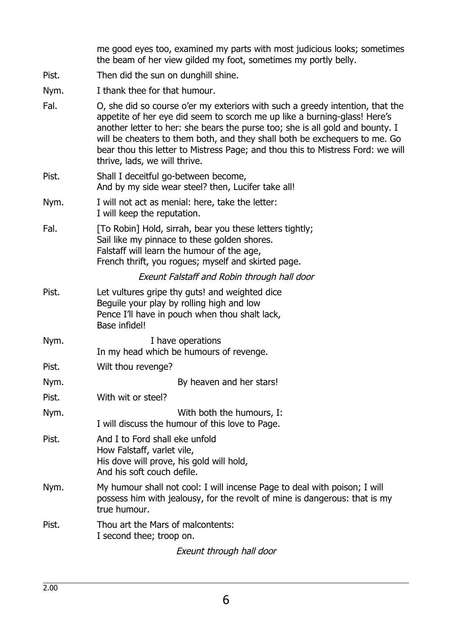me good eyes too, examined my parts with most judicious looks; sometimes the beam of her view gilded my foot, sometimes my portly belly.

- Pist. Then did the sun on dunghill shine.
- Nym. I thank thee for that humour.
- Fal. O, she did so course o'er my exteriors with such a greedy intention, that the appetite of her eye did seem to scorch me up like a burning-glass! Here's another letter to her: she bears the purse too; she is all gold and bounty. I will be cheaters to them both, and they shall both be exchequers to me. Go bear thou this letter to Mistress Page; and thou this to Mistress Ford: we will thrive, lads, we will thrive.
- Pist. Shall I deceitful go-between become, And by my side wear steel? then, Lucifer take all!
- Nym. I will not act as menial: here, take the letter: I will keep the reputation.
- Fal. [To Robin] Hold, sirrah, bear you these letters tightly; Sail like my pinnace to these golden shores. Falstaff will learn the humour of the age, French thrift, you rogues; myself and skirted page.

### Exeunt Falstaff and Robin through hall door

- Pist. Let vultures gripe thy guts! and weighted dice Beguile your play by rolling high and low Pence I'll have in pouch when thou shalt lack, Base infidel!
- Nym. Now I have operations In my head which be humours of revenge.
- Pist. Wilt thou revenge?

Nym. By heaven and her stars!

- Pist. With wit or steel?
- Nym. With both the humours, I: I will discuss the humour of this love to Page.
- Pist. And I to Ford shall eke unfold How Falstaff, varlet vile, His dove will prove, his gold will hold, And his soft couch defile.
- Nym. My humour shall not cool: I will incense Page to deal with poison; I will possess him with jealousy, for the revolt of mine is dangerous: that is my true humour.
- Pist. Thou art the Mars of malcontents: I second thee; troop on.

Exeunt through hall door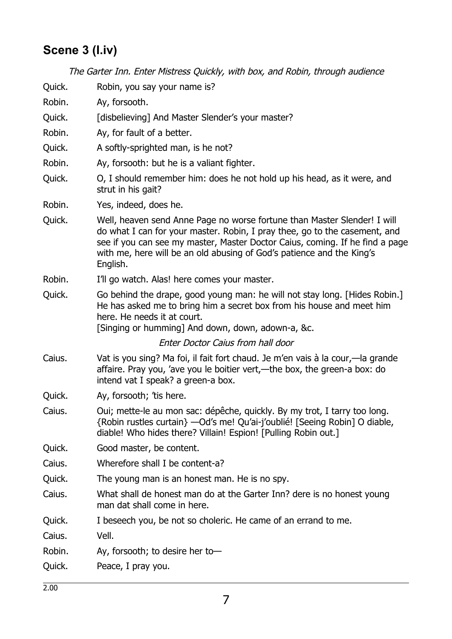# **Scene 3 (I.iv)**

|        | The Garter Inn. Enter Mistress Quickly, with box, and Robin, through audience                                                                                                                                                                                                                                               |
|--------|-----------------------------------------------------------------------------------------------------------------------------------------------------------------------------------------------------------------------------------------------------------------------------------------------------------------------------|
| Quick. | Robin, you say your name is?                                                                                                                                                                                                                                                                                                |
| Robin. | Ay, forsooth.                                                                                                                                                                                                                                                                                                               |
| Quick. | [disbelieving] And Master Slender's your master?                                                                                                                                                                                                                                                                            |
| Robin. | Ay, for fault of a better.                                                                                                                                                                                                                                                                                                  |
| Quick. | A softly-sprighted man, is he not?                                                                                                                                                                                                                                                                                          |
| Robin. | Ay, forsooth: but he is a valiant fighter.                                                                                                                                                                                                                                                                                  |
| Quick. | O, I should remember him: does he not hold up his head, as it were, and<br>strut in his gait?                                                                                                                                                                                                                               |
| Robin. | Yes, indeed, does he.                                                                                                                                                                                                                                                                                                       |
| Quick. | Well, heaven send Anne Page no worse fortune than Master Slender! I will<br>do what I can for your master. Robin, I pray thee, go to the casement, and<br>see if you can see my master, Master Doctor Caius, coming. If he find a page<br>with me, here will be an old abusing of God's patience and the King's<br>English. |
| Robin. | I'll go watch. Alas! here comes your master.                                                                                                                                                                                                                                                                                |
| Quick. | Go behind the drape, good young man: he will not stay long. [Hides Robin.]<br>He has asked me to bring him a secret box from his house and meet him<br>here. He needs it at court.<br>[Singing or humming] And down, down, adown-a, &c.                                                                                     |
|        | Enter Doctor Caius from hall door                                                                                                                                                                                                                                                                                           |
| Caius. | Vat is you sing? Ma foi, il fait fort chaud. Je m'en vais à la cour,—la grande<br>affaire. Pray you, 'ave you le boitier vert,—the box, the green-a box: do<br>intend vat I speak? a green-a box.                                                                                                                           |
| Quick. | Ay, forsooth; 'tis here.                                                                                                                                                                                                                                                                                                    |
| Caius. | Oui; mette-le au mon sac: dépêche, quickly. By my trot, I tarry too long.<br>{Robin rustles curtain} - Od's me! Qu'ai-j'oublié! [Seeing Robin] O diable,<br>diable! Who hides there? Villain! Espion! [Pulling Robin out.]                                                                                                  |
| Quick. | Good master, be content.                                                                                                                                                                                                                                                                                                    |
| Caius. | Wherefore shall I be content-a?                                                                                                                                                                                                                                                                                             |
| Quick. | The young man is an honest man. He is no spy.                                                                                                                                                                                                                                                                               |
| Caius. | What shall de honest man do at the Garter Inn? dere is no honest young<br>man dat shall come in here.                                                                                                                                                                                                                       |
| Quick. | I beseech you, be not so choleric. He came of an errand to me.                                                                                                                                                                                                                                                              |
| Caius. | Vell.                                                                                                                                                                                                                                                                                                                       |
| Robin. | Ay, forsooth; to desire her to-                                                                                                                                                                                                                                                                                             |
| Quick. | Peace, I pray you.                                                                                                                                                                                                                                                                                                          |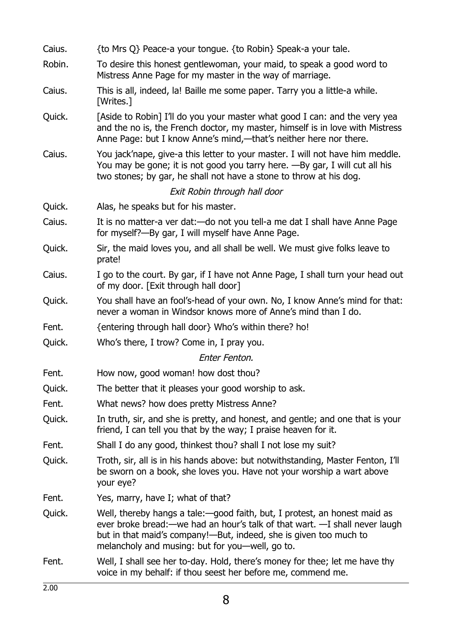| Caius. | {to Mrs Q} Peace-a your tongue. {to Robin} Speak-a your tale.                                                                                                                                                                                                                     |
|--------|-----------------------------------------------------------------------------------------------------------------------------------------------------------------------------------------------------------------------------------------------------------------------------------|
| Robin. | To desire this honest gentlewoman, your maid, to speak a good word to<br>Mistress Anne Page for my master in the way of marriage.                                                                                                                                                 |
| Caius. | This is all, indeed, la! Baille me some paper. Tarry you a little-a while.<br>[Writes.]                                                                                                                                                                                           |
| Quick. | [Aside to Robin] I'll do you your master what good I can: and the very yea<br>and the no is, the French doctor, my master, himself is in love with Mistress<br>Anne Page: but I know Anne's mind,—that's neither here nor there.                                                  |
| Caius. | You jack'nape, give-a this letter to your master. I will not have him meddle.<br>You may be gone; it is not good you tarry here. -By gar, I will cut all his<br>two stones; by gar, he shall not have a stone to throw at his dog.                                                |
|        | Exit Robin through hall door                                                                                                                                                                                                                                                      |
| Quick. | Alas, he speaks but for his master.                                                                                                                                                                                                                                               |
| Caius. | It is no matter-a ver dat: - do not you tell-a me dat I shall have Anne Page<br>for myself?—By gar, I will myself have Anne Page.                                                                                                                                                 |
| Quick. | Sir, the maid loves you, and all shall be well. We must give folks leave to<br>prate!                                                                                                                                                                                             |
| Caius. | I go to the court. By gar, if I have not Anne Page, I shall turn your head out<br>of my door. [Exit through hall door]                                                                                                                                                            |
| Quick. | You shall have an fool's-head of your own. No, I know Anne's mind for that:<br>never a woman in Windsor knows more of Anne's mind than I do.                                                                                                                                      |
| Fent.  | {entering through hall door} Who's within there? ho!                                                                                                                                                                                                                              |
| Quick. | Who's there, I trow? Come in, I pray you.                                                                                                                                                                                                                                         |
|        | Enter Fenton.                                                                                                                                                                                                                                                                     |
| Fent.  | How now, good woman! how dost thou?                                                                                                                                                                                                                                               |
| Quick. | The better that it pleases your good worship to ask.                                                                                                                                                                                                                              |
| Fent.  | What news? how does pretty Mistress Anne?                                                                                                                                                                                                                                         |
| Quick. | In truth, sir, and she is pretty, and honest, and gentle; and one that is your<br>friend, I can tell you that by the way; I praise heaven for it.                                                                                                                                 |
| Fent.  | Shall I do any good, thinkest thou? shall I not lose my suit?                                                                                                                                                                                                                     |
| Quick. | Troth, sir, all is in his hands above: but notwithstanding, Master Fenton, I'll<br>be sworn on a book, she loves you. Have not your worship a wart above<br>your eye?                                                                                                             |
| Fent.  | Yes, marry, have I; what of that?                                                                                                                                                                                                                                                 |
| Quick. | Well, thereby hangs a tale: good faith, but, I protest, an honest maid as<br>ever broke bread: — we had an hour's talk of that wart. —I shall never laugh<br>but in that maid's company!—But, indeed, she is given too much to<br>melancholy and musing: but for you—well, go to. |
| Fent.  | Well, I shall see her to-day. Hold, there's money for thee; let me have thy<br>voice in my behalf: if thou seest her before me, commend me.                                                                                                                                       |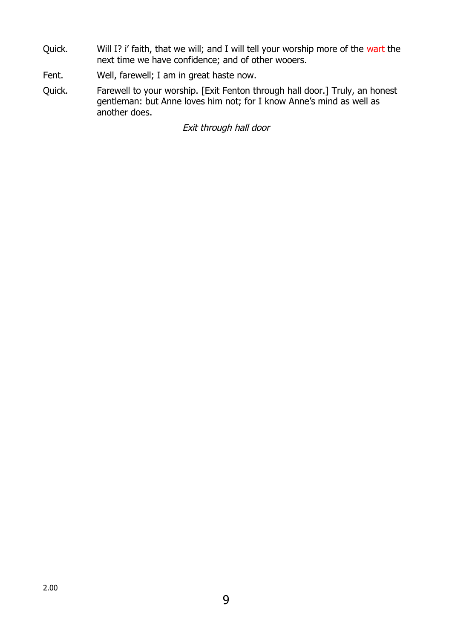- Quick. Will I? i' faith, that we will; and I will tell your worship more of the wart the next time we have confidence; and of other wooers.
- Fent. Well, farewell; I am in great haste now.
- Quick. Farewell to your worship. [Exit Fenton through hall door.] Truly, an honest gentleman: but Anne loves him not; for I know Anne's mind as well as another does.

Exit through hall door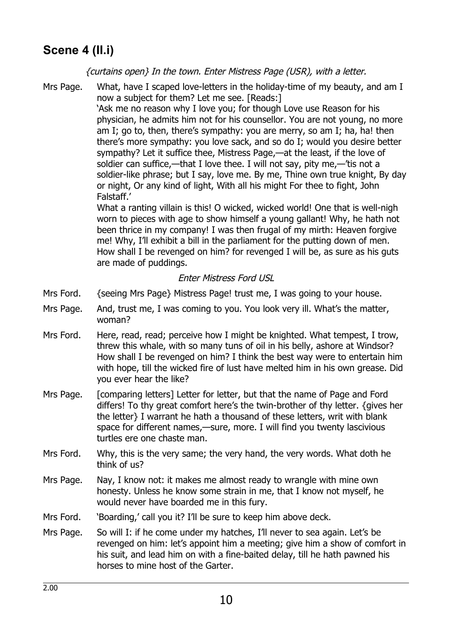### **Scene 4 (II.i)**

{curtains open} In the town. Enter Mistress Page (USR), with a letter.

Mrs Page. What, have I scaped love-letters in the holiday-time of my beauty, and am I now a subject for them? Let me see. [Reads:]

> 'Ask me no reason why I love you; for though Love use Reason for his physician, he admits him not for his counsellor. You are not young, no more am I; go to, then, there's sympathy: you are merry, so am I; ha, ha! then there's more sympathy: you love sack, and so do I; would you desire better sympathy? Let it suffice thee, Mistress Page,—at the least, if the love of soldier can suffice,—that I love thee. I will not say, pity me,—'tis not a soldier-like phrase; but I say, love me. By me, Thine own true knight, By day or night, Or any kind of light, With all his might For thee to fight, John Falstaff.'

What a ranting villain is this! O wicked, wicked world! One that is well-nigh worn to pieces with age to show himself a young gallant! Why, he hath not been thrice in my company! I was then frugal of my mirth: Heaven forgive me! Why, I'll exhibit a bill in the parliament for the putting down of men. How shall I be revenged on him? for revenged I will be, as sure as his guts are made of puddings.

### Enter Mistress Ford USL

- Mrs Ford. {seeing Mrs Page} Mistress Page! trust me, I was going to your house.
- Mrs Page. And, trust me, I was coming to you. You look very ill. What's the matter, woman?
- Mrs Ford. Here, read, read; perceive how I might be knighted. What tempest, I trow, threw this whale, with so many tuns of oil in his belly, ashore at Windsor? How shall I be revenged on him? I think the best way were to entertain him with hope, till the wicked fire of lust have melted him in his own grease. Did you ever hear the like?
- Mrs Page. [comparing letters] Letter for letter, but that the name of Page and Ford differs! To thy great comfort here's the twin-brother of thy letter. {gives her the letter} I warrant he hath a thousand of these letters, writ with blank space for different names,—sure, more. I will find you twenty lascivious turtles ere one chaste man.
- Mrs Ford. Why, this is the very same; the very hand, the very words. What doth he think of us?
- Mrs Page. Nay, I know not: it makes me almost ready to wrangle with mine own honesty. Unless he know some strain in me, that I know not myself, he would never have boarded me in this fury.
- Mrs Ford. 'Boarding,' call you it? I'll be sure to keep him above deck.
- Mrs Page. So will I: if he come under my hatches, I'll never to sea again. Let's be revenged on him: let's appoint him a meeting; give him a show of comfort in his suit, and lead him on with a fine-baited delay, till he hath pawned his horses to mine host of the Garter.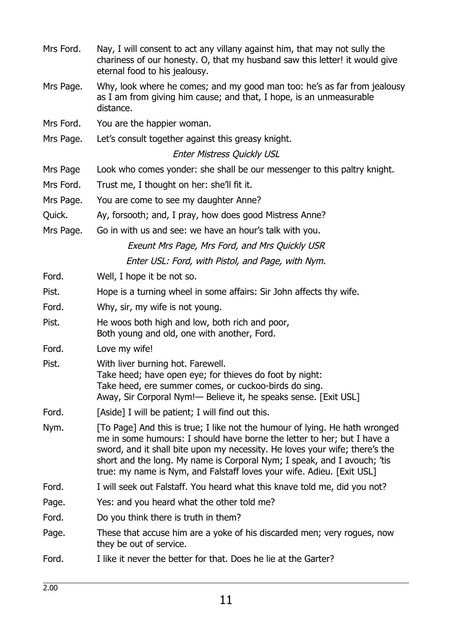- Mrs Ford. Nay, I will consent to act any villany against him, that may not sully the chariness of our honesty. O, that my husband saw this letter! it would give eternal food to his jealousy.
- Mrs Page. Why, look where he comes; and my good man too: he's as far from jealousy as I am from giving him cause; and that, I hope, is an unmeasurable distance.
- Mrs Ford. You are the happier woman.
- Mrs Page. Let's consult together against this greasy knight.

### Enter Mistress Quickly USL

- Mrs Page Look who comes yonder: she shall be our messenger to this paltry knight.
- Mrs Ford. Trust me, I thought on her: she'll fit it.
- Mrs Page. You are come to see my daughter Anne?
- Quick. Ay, forsooth; and, I pray, how does good Mistress Anne?
- Mrs Page. Go in with us and see: we have an hour's talk with you. Exeunt Mrs Page, Mrs Ford, and Mrs Quickly USR Enter USL: Ford, with Pistol, and Page, with Nym.
- Ford. Well, I hope it be not so.
- Pist. Hope is a turning wheel in some affairs: Sir John affects thy wife.
- Ford. Why, sir, my wife is not young.
- Pist. He woos both high and low, both rich and poor, Both young and old, one with another, Ford.
- Ford. Love my wife!
- Pist. With liver burning hot. Farewell.
	- Take heed; have open eye; for thieves do foot by night: Take heed, ere summer comes, or cuckoo-birds do sing. Away, Sir Corporal Nym!— Believe it, he speaks sense. [Exit USL]
- Ford. [Aside] I will be patient; I will find out this.
- Nym. [To Page] And this is true; I like not the humour of lying. He hath wronged me in some humours: I should have borne the letter to her; but I have a sword, and it shall bite upon my necessity. He loves your wife; there's the short and the long. My name is Corporal Nym; I speak, and I avouch; 'tis true: my name is Nym, and Falstaff loves your wife. Adieu. [Exit USL]
- Ford. I will seek out Falstaff. You heard what this knave told me, did you not?
- Page. Yes: and you heard what the other told me?
- Ford. Do you think there is truth in them?
- Page. These that accuse him are a yoke of his discarded men; very rogues, now they be out of service.
- Ford. I like it never the better for that. Does he lie at the Garter?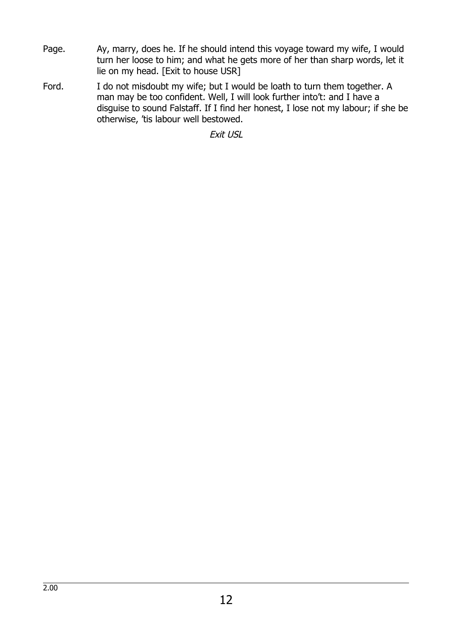- Page. Ay, marry, does he. If he should intend this voyage toward my wife, I would turn her loose to him; and what he gets more of her than sharp words, let it lie on my head. [Exit to house USR]
- Ford. I do not misdoubt my wife; but I would be loath to turn them together. A man may be too confident. Well, I will look further into't: and I have a disguise to sound Falstaff. If I find her honest, I lose not my labour; if she be otherwise, 'tis labour well bestowed.

Exit USL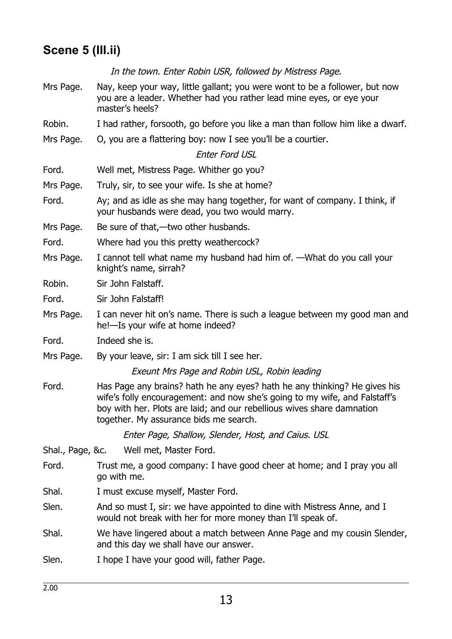### **Scene 5 (III.ii)**

In the town. Enter Robin USR, followed by Mistress Page.

- Mrs Page. Nay, keep your way, little gallant; you were wont to be a follower, but now you are a leader. Whether had you rather lead mine eyes, or eye your master's heels?
- Robin. I had rather, forsooth, go before you like a man than follow him like a dwarf.
- Mrs Page. O, you are a flattering boy: now I see you'll be a courtier.

### Enter Ford USL

- Ford. Well met, Mistress Page. Whither go you?
- Mrs Page. Truly, sir, to see your wife. Is she at home?
- Ford. Ay; and as idle as she may hang together, for want of company. I think, if your husbands were dead, you two would marry.
- Mrs Page. Be sure of that,—two other husbands.
- Ford. Where had you this pretty weathercock?
- Mrs Page. I cannot tell what name my husband had him of. —What do you call your knight's name, sirrah?
- Robin. Sir John Falstaff.

Ford. Sir John Falstaff!

- Mrs Page. I can never hit on's name. There is such a league between my good man and he!—Is your wife at home indeed?
- Ford. Indeed she is.
- Mrs Page. By your leave, sir: I am sick till I see her.

Exeunt Mrs Page and Robin USL, Robin leading

Ford. Has Page any brains? hath he any eyes? hath he any thinking? He gives his wife's folly encouragement: and now she's going to my wife, and Falstaff's boy with her. Plots are laid; and our rebellious wives share damnation together. My assurance bids me search.

Enter Page, Shallow, Slender, Host, and Caius. USL

- Shal., Page, &c. Well met, Master Ford.
- Ford. Trust me, a good company: I have good cheer at home; and I pray you all go with me.
- Shal. I must excuse myself, Master Ford.
- Slen. And so must I, sir: we have appointed to dine with Mistress Anne, and I would not break with her for more money than I'll speak of.
- Shal. We have lingered about a match between Anne Page and my cousin Slender, and this day we shall have our answer.
- Slen. I hope I have your good will, father Page.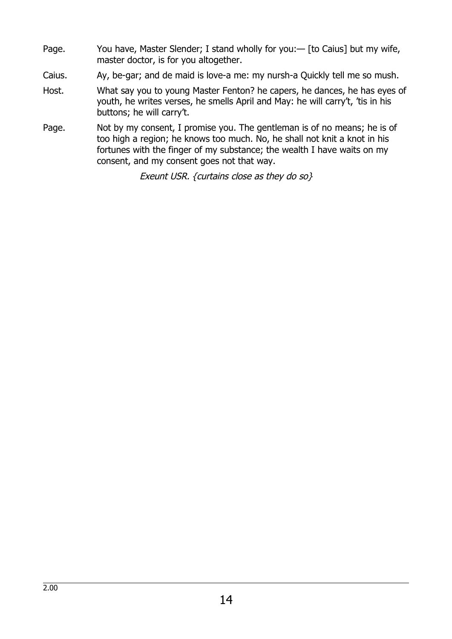- Page. You have, Master Slender; I stand wholly for you: [to Caius] but my wife, master doctor, is for you altogether.
- Caius. Ay, be-gar; and de maid is love-a me: my nursh-a Quickly tell me so mush.
- Host. What say you to young Master Fenton? he capers, he dances, he has eyes of youth, he writes verses, he smells April and May: he will carry't, 'tis in his buttons; he will carry't.
- Page. Not by my consent, I promise you. The gentleman is of no means; he is of too high a region; he knows too much. No, he shall not knit a knot in his fortunes with the finger of my substance; the wealth I have waits on my consent, and my consent goes not that way.

Exeunt USR. {curtains close as they do so}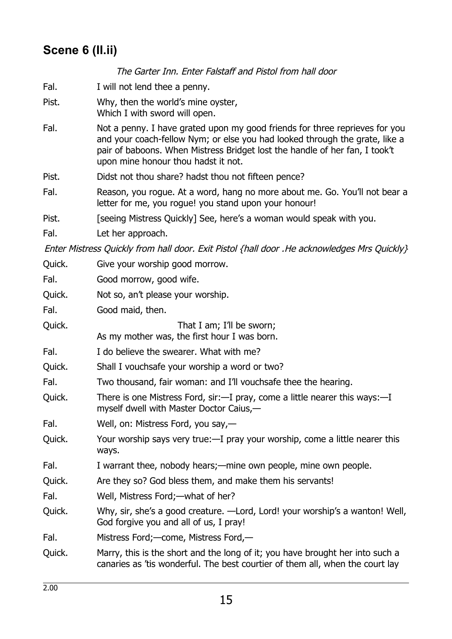### **Scene 6 (II.ii)**

The Garter Inn. Enter Falstaff and Pistol from hall door Fal. I will not lend thee a penny. Pist. Why, then the world's mine oyster, Which I with sword will open. Fal. Not a penny. I have grated upon my good friends for three reprieves for you and your coach-fellow Nym; or else you had looked through the grate, like a pair of baboons. When Mistress Bridget lost the handle of her fan, I took't upon mine honour thou hadst it not. Pist. Didst not thou share? hadst thou not fifteen pence? Fal. Reason, you rogue. At a word, hang no more about me. Go. You'll not bear a letter for me, you rogue! you stand upon your honour! Pist. **[Seeing Mistress Quickly] See, here's a woman would speak with you.** Fal. Let her approach. Enter Mistress Quickly from hall door. Exit Pistol {hall door .He acknowledges Mrs Quickly} Quick. Give your worship good morrow. Fal. **Good morrow**, good wife. Quick. Not so, an't please your worship. Fal. Good maid, then. Quick. Consumer that I am; I'll be sworn; As my mother was, the first hour I was born. Fal. I do believe the swearer. What with me? Quick. Shall I vouchsafe your worship a word or two? Fal. Two thousand, fair woman: and I'll vouchsafe thee the hearing. Quick. There is one Mistress Ford, sir:—I pray, come a little nearer this ways:—I myself dwell with Master Doctor Caius,— Fal. Well, on: Mistress Ford, you say,— Quick. Your worship says very true:—I pray your worship, come a little nearer this ways. Fal. I warrant thee, nobody hears;—mine own people, mine own people. Quick. Are they so? God bless them, and make them his servants! Fal. Well, Mistress Ford;—what of her? Quick. Why, sir, she's a good creature. —Lord, Lord! your worship's a wanton! Well, God forgive you and all of us, I pray! Fal. Mistress Ford;—come, Mistress Ford,— Quick. Marry, this is the short and the long of it; you have brought her into such a canaries as 'tis wonderful. The best courtier of them all, when the court lay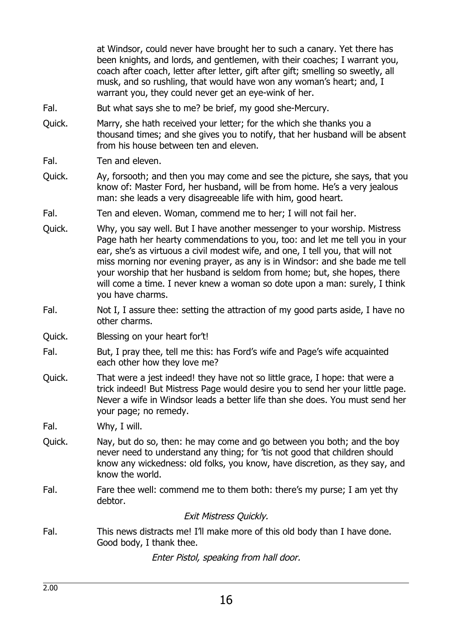at Windsor, could never have brought her to such a canary. Yet there has been knights, and lords, and gentlemen, with their coaches; I warrant you, coach after coach, letter after letter, gift after gift; smelling so sweetly, all musk, and so rushling, that would have won any woman's heart; and, I warrant you, they could never get an eye-wink of her.

- Fal. But what says she to me? be brief, my good she-Mercury.
- Quick. Marry, she hath received your letter; for the which she thanks you a thousand times; and she gives you to notify, that her husband will be absent from his house between ten and eleven.
- Fal. Ten and eleven.
- Quick. Ay, forsooth; and then you may come and see the picture, she says, that you know of: Master Ford, her husband, will be from home. He's a very jealous man: she leads a very disagreeable life with him, good heart.
- Fal. Ten and eleven. Woman, commend me to her; I will not fail her.
- Quick. Why, you say well. But I have another messenger to your worship. Mistress Page hath her hearty commendations to you, too: and let me tell you in your ear, she's as virtuous a civil modest wife, and one, I tell you, that will not miss morning nor evening prayer, as any is in Windsor: and she bade me tell your worship that her husband is seldom from home; but, she hopes, there will come a time. I never knew a woman so dote upon a man: surely, I think you have charms.
- Fal. Not I, I assure thee: setting the attraction of my good parts aside, I have no other charms.
- Quick. Blessing on your heart for't!
- Fal. But, I pray thee, tell me this: has Ford's wife and Page's wife acquainted each other how they love me?
- Quick. That were a jest indeed! they have not so little grace, I hope: that were a trick indeed! But Mistress Page would desire you to send her your little page. Never a wife in Windsor leads a better life than she does. You must send her your page; no remedy.

Fal. Why, I will.

- Quick. Nay, but do so, then: he may come and go between you both; and the boy never need to understand any thing; for 'tis not good that children should know any wickedness: old folks, you know, have discretion, as they say, and know the world.
- Fal. Fare thee well: commend me to them both: there's my purse; I am yet thy debtor.

#### Exit Mistress Quickly.

Fal. This news distracts me! I'll make more of this old body than I have done. Good body, I thank thee.

Enter Pistol, speaking from hall door.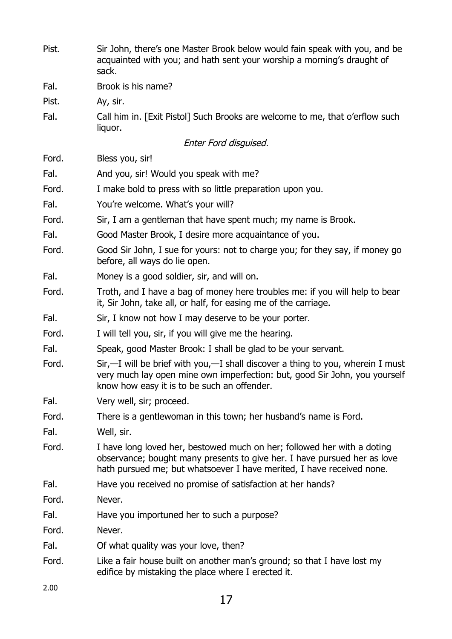| Pist. | Sir John, there's one Master Brook below would fain speak with you, and be<br>acquainted with you; and hath sent your worship a morning's draught of<br>sack.                                                                |
|-------|------------------------------------------------------------------------------------------------------------------------------------------------------------------------------------------------------------------------------|
| Fal.  | Brook is his name?                                                                                                                                                                                                           |
| Pist. | Ay, sir.                                                                                                                                                                                                                     |
| Fal.  | Call him in. [Exit Pistol] Such Brooks are welcome to me, that o'erflow such<br>liquor.                                                                                                                                      |
|       | Enter Ford disguised.                                                                                                                                                                                                        |
| Ford. | Bless you, sir!                                                                                                                                                                                                              |
| Fal.  | And you, sir! Would you speak with me?                                                                                                                                                                                       |
| Ford. | I make bold to press with so little preparation upon you.                                                                                                                                                                    |
| Fal.  | You're welcome. What's your will?                                                                                                                                                                                            |
| Ford. | Sir, I am a gentleman that have spent much; my name is Brook.                                                                                                                                                                |
| Fal.  | Good Master Brook, I desire more acquaintance of you.                                                                                                                                                                        |
| Ford. | Good Sir John, I sue for yours: not to charge you; for they say, if money go<br>before, all ways do lie open.                                                                                                                |
| Fal.  | Money is a good soldier, sir, and will on.                                                                                                                                                                                   |
| Ford. | Troth, and I have a bag of money here troubles me: if you will help to bear<br>it, Sir John, take all, or half, for easing me of the carriage.                                                                               |
| Fal.  | Sir, I know not how I may deserve to be your porter.                                                                                                                                                                         |
| Ford. | I will tell you, sir, if you will give me the hearing.                                                                                                                                                                       |
| Fal.  | Speak, good Master Brook: I shall be glad to be your servant.                                                                                                                                                                |
| Ford. | Sir,-I will be brief with you,-I shall discover a thing to you, wherein I must<br>very much lay open mine own imperfection: but, good Sir John, you yourself<br>know how easy it is to be such an offender.                  |
| Fal.  | Very well, sir; proceed.                                                                                                                                                                                                     |
| Ford. | There is a gentlewoman in this town; her husband's name is Ford.                                                                                                                                                             |
| Fal.  | Well, sir.                                                                                                                                                                                                                   |
| Ford. | I have long loved her, bestowed much on her; followed her with a doting<br>observance; bought many presents to give her. I have pursued her as love<br>hath pursued me; but whatsoever I have merited, I have received none. |
| Fal.  | Have you received no promise of satisfaction at her hands?                                                                                                                                                                   |
| Ford. | Never.                                                                                                                                                                                                                       |
| Fal.  | Have you importuned her to such a purpose?                                                                                                                                                                                   |
| Ford. | Never.                                                                                                                                                                                                                       |
| Fal.  | Of what quality was your love, then?                                                                                                                                                                                         |
| Ford. | Like a fair house built on another man's ground; so that I have lost my<br>edifice by mistaking the place where I erected it.                                                                                                |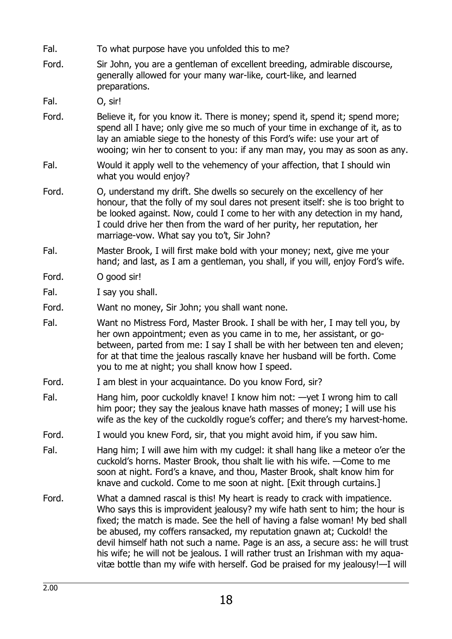- Fal. To what purpose have you unfolded this to me?
- Ford. Sir John, you are a gentleman of excellent breeding, admirable discourse, generally allowed for your many war-like, court-like, and learned preparations.

Fal. O, sir!

- Ford. Believe it, for you know it. There is money; spend it, spend it; spend more; spend all I have; only give me so much of your time in exchange of it, as to lay an amiable siege to the honesty of this Ford's wife: use your art of wooing; win her to consent to you: if any man may, you may as soon as any.
- Fal. Would it apply well to the vehemency of your affection, that I should win what you would enjoy?
- Ford. O, understand my drift. She dwells so securely on the excellency of her honour, that the folly of my soul dares not present itself: she is too bright to be looked against. Now, could I come to her with any detection in my hand, I could drive her then from the ward of her purity, her reputation, her marriage-vow. What say you to't, Sir John?
- Fal. Master Brook, I will first make bold with your money; next, give me your hand; and last, as I am a gentleman, you shall, if you will, enjoy Ford's wife.
- Ford. O good sir!
- Fal. I say you shall.
- Ford. Want no money, Sir John; you shall want none.
- Fal. Want no Mistress Ford, Master Brook. I shall be with her, I may tell you, by her own appointment; even as you came in to me, her assistant, or gobetween, parted from me: I say I shall be with her between ten and eleven; for at that time the jealous rascally knave her husband will be forth. Come you to me at night; you shall know how I speed.
- Ford. I am blest in your acquaintance. Do you know Ford, sir?
- Fal. Hang him, poor cuckoldly knave! I know him not: —yet I wrong him to call him poor; they say the jealous knave hath masses of money; I will use his wife as the key of the cuckoldly rogue's coffer; and there's my harvest-home.
- Ford. I would you knew Ford, sir, that you might avoid him, if you saw him.
- Fal. Hang him; I will awe him with my cudgel: it shall hang like a meteor o'er the cuckold's horns. Master Brook, thou shalt lie with his wife. —Come to me soon at night. Ford's a knave, and thou, Master Brook, shalt know him for knave and cuckold. Come to me soon at night. [Exit through curtains.]
- Ford. What a damned rascal is this! My heart is ready to crack with impatience. Who says this is improvident jealousy? my wife hath sent to him; the hour is fixed; the match is made. See the hell of having a false woman! My bed shall be abused, my coffers ransacked, my reputation gnawn at; Cuckold! the devil himself hath not such a name. Page is an ass, a secure ass: he will trust his wife; he will not be jealous. I will rather trust an Irishman with my aquavitæ bottle than my wife with herself. God be praised for my jealousy!—I will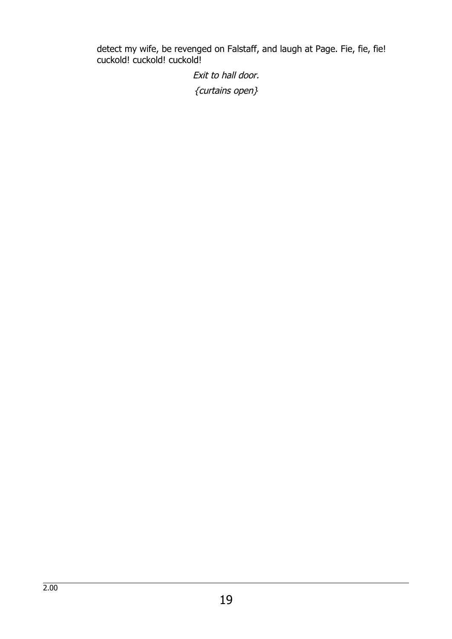detect my wife, be revenged on Falstaff, and laugh at Page. Fie, fie, fie! cuckold! cuckold! cuckold!

> Exit to hall door. {curtains open}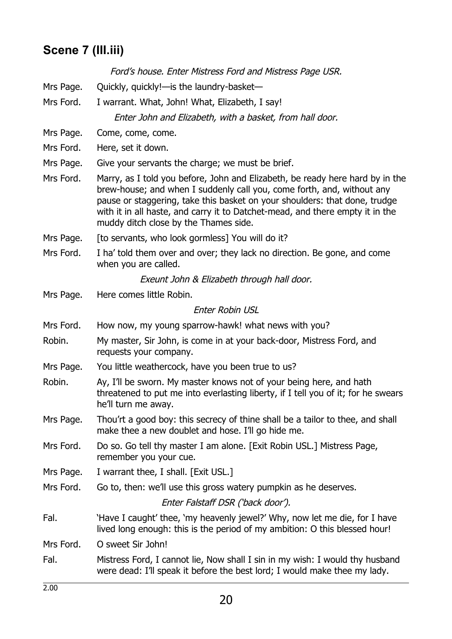### **Scene 7 (III.iii)**

Ford's house. Enter Mistress Ford and Mistress Page USR.

- Mrs Page. Quickly, quickly!—is the laundry-basket—
- Mrs Ford. I warrant. What, John! What, Elizabeth, I say! Enter John and Elizabeth, with a basket, from hall door.

Mrs Page. Come, come, come.

- Mrs Ford. Here, set it down.
- Mrs Page. Give your servants the charge; we must be brief.
- Mrs Ford. Marry, as I told you before, John and Elizabeth, be ready here hard by in the brew-house; and when I suddenly call you, come forth, and, without any pause or staggering, take this basket on your shoulders: that done, trudge with it in all haste, and carry it to Datchet-mead, and there empty it in the muddy ditch close by the Thames side.
- Mrs Page. [to servants, who look gormless] You will do it?
- Mrs Ford. I ha' told them over and over; they lack no direction. Be gone, and come when you are called.

Exeunt John & Elizabeth through hall door.

Mrs Page. Here comes little Robin.

#### Enter Robin USL

- Mrs Ford. How now, my young sparrow-hawk! what news with you?
- Robin. My master, Sir John, is come in at your back-door, Mistress Ford, and requests your company.
- Mrs Page. You little weathercock, have you been true to us?
- Robin. Ay, I'll be sworn. My master knows not of your being here, and hath threatened to put me into everlasting liberty, if I tell you of it; for he swears he'll turn me away.
- Mrs Page. Thou'rt a good boy: this secrecy of thine shall be a tailor to thee, and shall make thee a new doublet and hose. I'll go hide me.
- Mrs Ford. Do so. Go tell thy master I am alone. [Exit Robin USL.] Mistress Page, remember you your cue.
- Mrs Page. I warrant thee, I shall. [Exit USL.]

Mrs Ford. Go to, then: we'll use this gross watery pumpkin as he deserves.

Enter Falstaff DSR ('back door').

Fal. 'Have I caught' thee, 'my heavenly jewel?' Why, now let me die, for I have lived long enough: this is the period of my ambition: O this blessed hour!

Mrs Ford. O sweet Sir John!

Fal. Mistress Ford, I cannot lie, Now shall I sin in my wish: I would thy husband were dead: I'll speak it before the best lord; I would make thee my lady.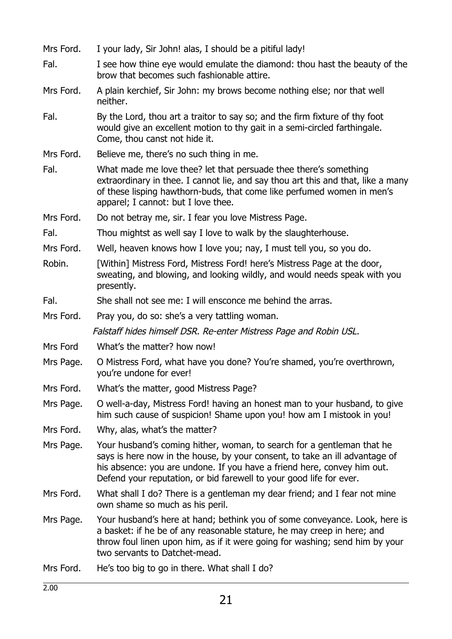| Mrs Ford. | I your lady, Sir John! alas, I should be a pitiful lady!                                                                                                                                                                                                                                                |
|-----------|---------------------------------------------------------------------------------------------------------------------------------------------------------------------------------------------------------------------------------------------------------------------------------------------------------|
| Fal.      | I see how thine eye would emulate the diamond: thou hast the beauty of the<br>brow that becomes such fashionable attire.                                                                                                                                                                                |
| Mrs Ford. | A plain kerchief, Sir John: my brows become nothing else; nor that well<br>neither.                                                                                                                                                                                                                     |
| Fal.      | By the Lord, thou art a traitor to say so; and the firm fixture of thy foot<br>would give an excellent motion to thy gait in a semi-circled farthingale.<br>Come, thou canst not hide it.                                                                                                               |
| Mrs Ford. | Believe me, there's no such thing in me.                                                                                                                                                                                                                                                                |
| Fal.      | What made me love thee? let that persuade thee there's something<br>extraordinary in thee. I cannot lie, and say thou art this and that, like a many<br>of these lisping hawthorn-buds, that come like perfumed women in men's<br>apparel; I cannot: but I love thee.                                   |
| Mrs Ford. | Do not betray me, sir. I fear you love Mistress Page.                                                                                                                                                                                                                                                   |
| Fal.      | Thou mightst as well say I love to walk by the slaughterhouse.                                                                                                                                                                                                                                          |
| Mrs Ford. | Well, heaven knows how I love you; nay, I must tell you, so you do.                                                                                                                                                                                                                                     |
| Robin.    | [Within] Mistress Ford, Mistress Ford! here's Mistress Page at the door,<br>sweating, and blowing, and looking wildly, and would needs speak with you<br>presently.                                                                                                                                     |
| Fal.      | She shall not see me: I will ensconce me behind the arras.                                                                                                                                                                                                                                              |
| Mrs Ford. | Pray you, do so: she's a very tattling woman.                                                                                                                                                                                                                                                           |
|           | Falstaff hides himself DSR. Re-enter Mistress Page and Robin USL.                                                                                                                                                                                                                                       |
| Mrs Ford  | What's the matter? how now!                                                                                                                                                                                                                                                                             |
| Mrs Page. | O Mistress Ford, what have you done? You're shamed, you're overthrown,<br>you're undone for ever!                                                                                                                                                                                                       |
| Mrs Ford. | What's the matter, good Mistress Page?                                                                                                                                                                                                                                                                  |
| Mrs Page. | O well-a-day, Mistress Ford! having an honest man to your husband, to give<br>him such cause of suspicion! Shame upon you! how am I mistook in you!                                                                                                                                                     |
| Mrs Ford. | Why, alas, what's the matter?                                                                                                                                                                                                                                                                           |
| Mrs Page. | Your husband's coming hither, woman, to search for a gentleman that he<br>says is here now in the house, by your consent, to take an ill advantage of<br>his absence: you are undone. If you have a friend here, convey him out.<br>Defend your reputation, or bid farewell to your good life for ever. |
| Mrs Ford. | What shall I do? There is a gentleman my dear friend; and I fear not mine<br>own shame so much as his peril.                                                                                                                                                                                            |
| Mrs Page. | Your husband's here at hand; bethink you of some conveyance. Look, here is<br>a basket: if he be of any reasonable stature, he may creep in here; and<br>throw foul linen upon him, as if it were going for washing; send him by your<br>two servants to Datchet-mead.                                  |
| Mrs Ford. | He's too big to go in there. What shall I do?                                                                                                                                                                                                                                                           |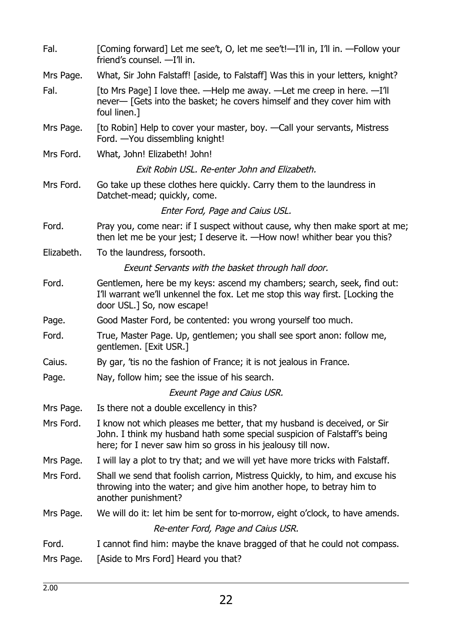| Fal.       | [Coming forward] Let me see't, O, let me see't!—I'll in, I'll in. —Follow your<br>friend's counsel. - I'll in.                                                                                                      |
|------------|---------------------------------------------------------------------------------------------------------------------------------------------------------------------------------------------------------------------|
| Mrs Page.  | What, Sir John Falstaff! [aside, to Falstaff] Was this in your letters, knight?                                                                                                                                     |
| Fal.       | [to Mrs Page] I love thee. - Help me away. - Let me creep in here. - I'll<br>never— [Gets into the basket; he covers himself and they cover him with<br>foul linen.]                                                |
| Mrs Page.  | [to Robin] Help to cover your master, boy. - Call your servants, Mistress<br>Ford. - You dissembling knight!                                                                                                        |
| Mrs Ford.  | What, John! Elizabeth! John!                                                                                                                                                                                        |
|            | Exit Robin USL. Re-enter John and Elizabeth.                                                                                                                                                                        |
| Mrs Ford.  | Go take up these clothes here quickly. Carry them to the laundress in<br>Datchet-mead; quickly, come.                                                                                                               |
|            | Enter Ford, Page and Caius USL.                                                                                                                                                                                     |
| Ford.      | Pray you, come near: if I suspect without cause, why then make sport at me;<br>then let me be your jest; I deserve it. —How now! whither bear you this?                                                             |
| Elizabeth. | To the laundress, forsooth.                                                                                                                                                                                         |
|            | Exeunt Servants with the basket through hall door.                                                                                                                                                                  |
| Ford.      | Gentlemen, here be my keys: ascend my chambers; search, seek, find out:<br>I'll warrant we'll unkennel the fox. Let me stop this way first. [Locking the<br>door USL.] So, now escape!                              |
| Page.      | Good Master Ford, be contented: you wrong yourself too much.                                                                                                                                                        |
| Ford.      | True, Master Page. Up, gentlemen; you shall see sport anon: follow me,<br>gentlemen. [Exit USR.]                                                                                                                    |
| Caius.     | By gar, 'tis no the fashion of France; it is not jealous in France.                                                                                                                                                 |
| Page.      | Nay, follow him; see the issue of his search.                                                                                                                                                                       |
|            | <b>Exeunt Page and Caius USR.</b>                                                                                                                                                                                   |
| Mrs Page.  | Is there not a double excellency in this?                                                                                                                                                                           |
| Mrs Ford.  | I know not which pleases me better, that my husband is deceived, or Sir<br>John. I think my husband hath some special suspicion of Falstaff's being<br>here; for I never saw him so gross in his jealousy till now. |
| Mrs Page.  | I will lay a plot to try that; and we will yet have more tricks with Falstaff.                                                                                                                                      |
| Mrs Ford.  | Shall we send that foolish carrion, Mistress Quickly, to him, and excuse his<br>throwing into the water; and give him another hope, to betray him to<br>another punishment?                                         |
| Mrs Page.  | We will do it: let him be sent for to-morrow, eight o'clock, to have amends.                                                                                                                                        |
|            | Re-enter Ford, Page and Caius USR.                                                                                                                                                                                  |
| Ford.      | I cannot find him: maybe the knave bragged of that he could not compass.                                                                                                                                            |
| Mrs Page.  | [Aside to Mrs Ford] Heard you that?                                                                                                                                                                                 |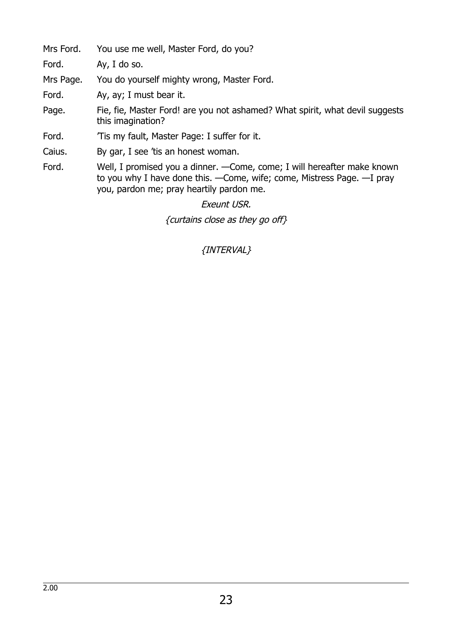Mrs Ford. You use me well, Master Ford, do you?

Ford. Ay, I do so.

Mrs Page. You do yourself mighty wrong, Master Ford.

Ford. Ay, ay; I must bear it.

Page. Fie, fie, Master Ford! are you not ashamed? What spirit, what devil suggests this imagination?

Ford. Tis my fault, Master Page: I suffer for it.

Caius. By gar, I see 'tis an honest woman.

Ford. Well, I promised you a dinner. —Come, come; I will hereafter make known to you why I have done this. —Come, wife; come, Mistress Page. —I pray you, pardon me; pray heartily pardon me.

Exeunt USR.

{curtains close as they go off}

### {INTERVAL}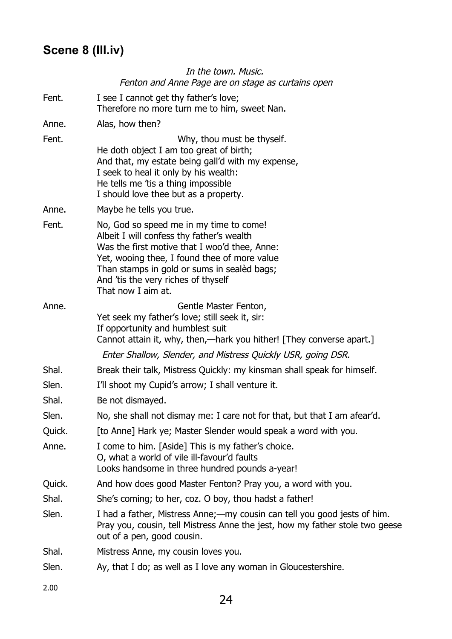### **Scene 8 (III.iv)**

### In the town. Music. Fenton and Anne Page are on stage as curtains open Fent. I see I cannot get thy father's love; Therefore no more turn me to him, sweet Nan. Anne. Alas, how then? Fent. The contract of the UV Why, thou must be thyself. He doth object I am too great of birth; And that, my estate being gall'd with my expense, I seek to heal it only by his wealth: He tells me 'tis a thing impossible I should love thee but as a property. Anne. Maybe he tells you true. Fent. No, God so speed me in my time to come! Albeit I will confess thy father's wealth Was the first motive that I woo'd thee, Anne: Yet, wooing thee, I found thee of more value Than stamps in gold or sums in sealèd bags; And 'tis the very riches of thyself That now I aim at. Anne. Gentle Master Fenton, Yet seek my father's love; still seek it, sir: If opportunity and humblest suit Cannot attain it, why, then,—hark you hither! [They converse apart.] Enter Shallow, Slender, and Mistress Quickly USR, going DSR. Shal. Break their talk, Mistress Quickly: my kinsman shall speak for himself. Slen. I'll shoot my Cupid's arrow; I shall venture it. Shal. Be not dismayed. Slen. No, she shall not dismay me: I care not for that, but that I am afear'd. Quick. [to Anne] Hark ye; Master Slender would speak a word with you. Anne. I come to him. [Aside] This is my father's choice. O, what a world of vile ill-favour'd faults Looks handsome in three hundred pounds a-year! Quick. And how does good Master Fenton? Pray you, a word with you. Shal. She's coming; to her, coz. O boy, thou hadst a father! Slen. I had a father, Mistress Anne;—my cousin can tell you good jests of him. Pray you, cousin, tell Mistress Anne the jest, how my father stole two geese out of a pen, good cousin. Shal. Mistress Anne, my cousin loves you.

Slen. Ay, that I do; as well as I love any woman in Gloucestershire.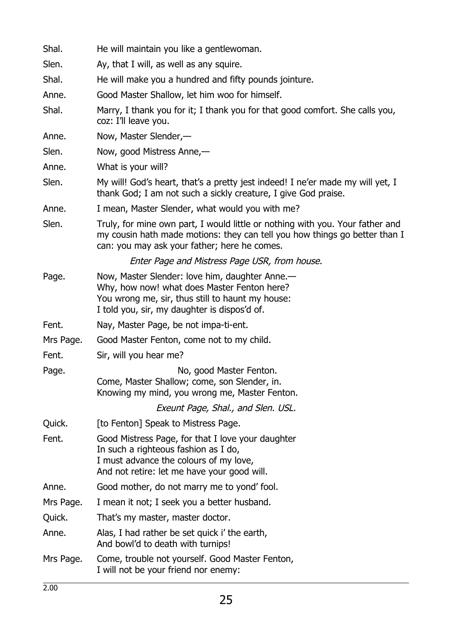| Shal.     | He will maintain you like a gentlewoman.                                                                                                                                                                    |
|-----------|-------------------------------------------------------------------------------------------------------------------------------------------------------------------------------------------------------------|
| Slen.     | Ay, that I will, as well as any squire.                                                                                                                                                                     |
| Shal.     | He will make you a hundred and fifty pounds jointure.                                                                                                                                                       |
| Anne.     | Good Master Shallow, let him woo for himself.                                                                                                                                                               |
| Shal.     | Marry, I thank you for it; I thank you for that good comfort. She calls you,<br>coz: I'll leave you.                                                                                                        |
| Anne.     | Now, Master Slender,-                                                                                                                                                                                       |
| Slen.     | Now, good Mistress Anne,-                                                                                                                                                                                   |
| Anne.     | What is your will?                                                                                                                                                                                          |
| Slen.     | My will! God's heart, that's a pretty jest indeed! I ne'er made my will yet, I<br>thank God; I am not such a sickly creature, I give God praise.                                                            |
| Anne.     | I mean, Master Slender, what would you with me?                                                                                                                                                             |
| Slen.     | Truly, for mine own part, I would little or nothing with you. Your father and<br>my cousin hath made motions: they can tell you how things go better than I<br>can: you may ask your father; here he comes. |
|           | Enter Page and Mistress Page USR, from house.                                                                                                                                                               |
| Page.     | Now, Master Slender: love him, daughter Anne.—<br>Why, how now! what does Master Fenton here?<br>You wrong me, sir, thus still to haunt my house:<br>I told you, sir, my daughter is dispos'd of.           |
| Fent.     | Nay, Master Page, be not impa-ti-ent.                                                                                                                                                                       |
| Mrs Page. | Good Master Fenton, come not to my child.                                                                                                                                                                   |
| Fent.     | Sir, will you hear me?                                                                                                                                                                                      |
| Page.     | No, good Master Fenton.<br>Come, Master Shallow; come, son Slender, in.<br>Knowing my mind, you wrong me, Master Fenton.<br>Exeunt Page, Shal., and Slen. USL.                                              |
| Quick.    | [to Fenton] Speak to Mistress Page.                                                                                                                                                                         |
| Fent.     | Good Mistress Page, for that I love your daughter<br>In such a righteous fashion as I do,<br>I must advance the colours of my love,<br>And not retire: let me have your good will.                          |
| Anne.     | Good mother, do not marry me to yond' fool.                                                                                                                                                                 |
| Mrs Page. | I mean it not; I seek you a better husband.                                                                                                                                                                 |
| Quick.    | That's my master, master doctor.                                                                                                                                                                            |
| Anne.     | Alas, I had rather be set quick i' the earth,<br>And bowl'd to death with turnips!                                                                                                                          |
| Mrs Page. | Come, trouble not yourself. Good Master Fenton,<br>I will not be your friend nor enemy:                                                                                                                     |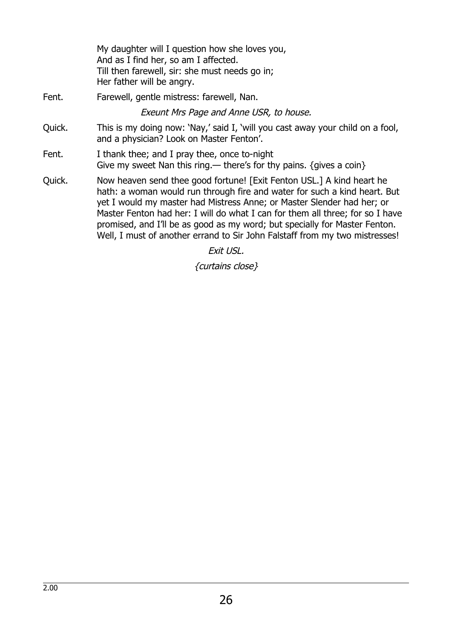My daughter will I question how she loves you, And as I find her, so am I affected. Till then farewell, sir: she must needs go in; Her father will be angry. Fent. Farewell, gentle mistress: farewell, Nan. Exeunt Mrs Page and Anne USR, to house. Quick. This is my doing now: 'Nay,' said I, 'will you cast away your child on a fool, and a physician? Look on Master Fenton'. Fent. I thank thee; and I pray thee, once to-night Give my sweet Nan this ring.— there's for thy pains.  $\{q$  aives a coin $\}$ Quick. Now heaven send thee good fortune! [Exit Fenton USL.] A kind heart he hath: a woman would run through fire and water for such a kind heart. But yet I would my master had Mistress Anne; or Master Slender had her; or Master Fenton had her: I will do what I can for them all three; for so I have promised, and I'll be as good as my word; but specially for Master Fenton. Well, I must of another errand to Sir John Falstaff from my two mistresses!

Exit USL.

{curtains close}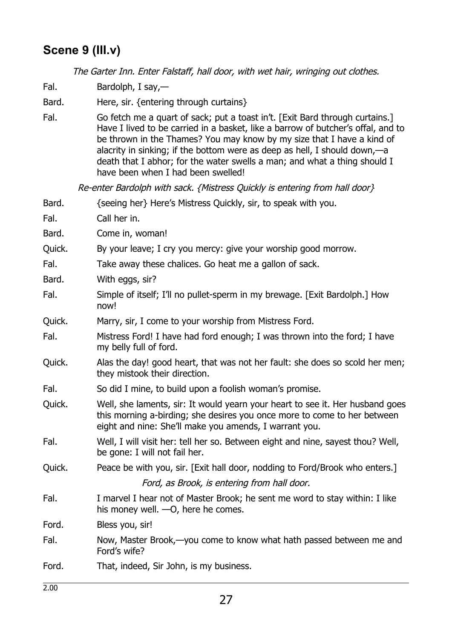### **Scene 9 (III.v)**

The Garter Inn. Enter Falstaff, hall door, with wet hair, wringing out clothes.

Fal. Bardolph, I say,—

Bard. Here, sir. {entering through curtains}

Fal. Go fetch me a quart of sack; put a toast in't. [Exit Bard through curtains.] Have I lived to be carried in a basket, like a barrow of butcher's offal, and to be thrown in the Thames? You may know by my size that I have a kind of alacrity in sinking; if the bottom were as deep as hell, I should down,—a death that I abhor; for the water swells a man; and what a thing should I have been when I had been swelled!

Re-enter Bardolph with sack. {Mistress Quickly is entering from hall door}

- Bard. {seeing her} Here's Mistress Quickly, sir, to speak with you.
- Fal. Call her in.
- Bard. Come in, woman!
- Quick. By your leave; I cry you mercy: give your worship good morrow.
- Fal. Take away these chalices. Go heat me a gallon of sack.
- Bard. With eggs, sir?
- Fal. Simple of itself; I'll no pullet-sperm in my brewage. [Exit Bardolph.] How now!
- Quick. Marry, sir, I come to your worship from Mistress Ford.
- Fal. Mistress Ford! I have had ford enough; I was thrown into the ford; I have my belly full of ford.
- Quick. Alas the day! good heart, that was not her fault: she does so scold her men; they mistook their direction.
- Fal. So did I mine, to build upon a foolish woman's promise.
- Quick. Well, she laments, sir: It would yearn your heart to see it. Her husband goes this morning a-birding; she desires you once more to come to her between eight and nine: She'll make you amends, I warrant you.
- Fal. Well, I will visit her: tell her so. Between eight and nine, sayest thou? Well, be gone: I will not fail her.
- Quick. Peace be with you, sir. [Exit hall door, nodding to Ford/Brook who enters.] Ford, as Brook, is entering from hall door.
- Fal. I marvel I hear not of Master Brook; he sent me word to stay within: I like his money well. —O, here he comes.

Ford. Bless you, sir!

Fal. Now, Master Brook,—you come to know what hath passed between me and Ford's wife?

Ford. That, indeed, Sir John, is my business.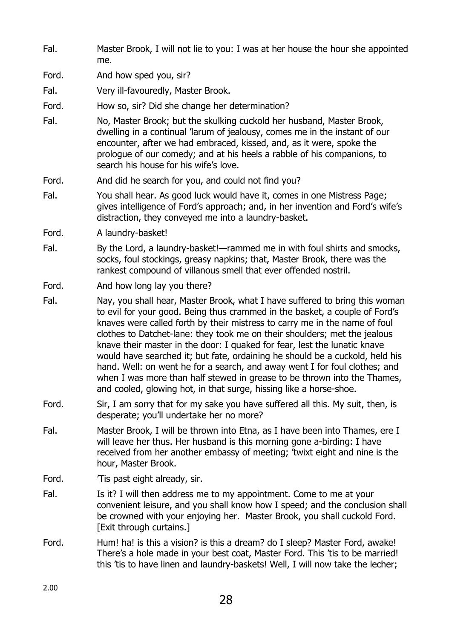- Fal. Master Brook, I will not lie to you: I was at her house the hour she appointed me.
- Ford. And how sped you, sir?

Fal. Very ill-favouredly, Master Brook.

- Ford. How so, sir? Did she change her determination?
- Fal. No, Master Brook; but the skulking cuckold her husband, Master Brook, dwelling in a continual 'larum of jealousy, comes me in the instant of our encounter, after we had embraced, kissed, and, as it were, spoke the prologue of our comedy; and at his heels a rabble of his companions, to search his house for his wife's love.
- Ford. And did he search for you, and could not find you?
- Fal. You shall hear. As good luck would have it, comes in one Mistress Page; gives intelligence of Ford's approach; and, in her invention and Ford's wife's distraction, they conveyed me into a laundry-basket.
- Ford. A laundry-basket!
- Fal. By the Lord, a laundry-basket!—rammed me in with foul shirts and smocks, socks, foul stockings, greasy napkins; that, Master Brook, there was the rankest compound of villanous smell that ever offended nostril.
- Ford. And how long lay you there?
- Fal. Nay, you shall hear, Master Brook, what I have suffered to bring this woman to evil for your good. Being thus crammed in the basket, a couple of Ford's knaves were called forth by their mistress to carry me in the name of foul clothes to Datchet-lane: they took me on their shoulders; met the jealous knave their master in the door: I quaked for fear, lest the lunatic knave would have searched it; but fate, ordaining he should be a cuckold, held his hand. Well: on went he for a search, and away went I for foul clothes; and when I was more than half stewed in grease to be thrown into the Thames, and cooled, glowing hot, in that surge, hissing like a horse-shoe.
- Ford. Sir, I am sorry that for my sake you have suffered all this. My suit, then, is desperate; you'll undertake her no more?
- Fal. Master Brook, I will be thrown into Etna, as I have been into Thames, ere I will leave her thus. Her husband is this morning gone a-birding: I have received from her another embassy of meeting; 'twixt eight and nine is the hour, Master Brook.
- Ford. **Tis past eight already, sir.**
- Fal. Is it? I will then address me to my appointment. Come to me at your convenient leisure, and you shall know how I speed; and the conclusion shall be crowned with your enjoying her. Master Brook, you shall cuckold Ford. [Exit through curtains.]
- Ford. Hum! ha! is this a vision? is this a dream? do I sleep? Master Ford, awake! There's a hole made in your best coat, Master Ford. This 'tis to be married! this 'tis to have linen and laundry-baskets! Well, I will now take the lecher;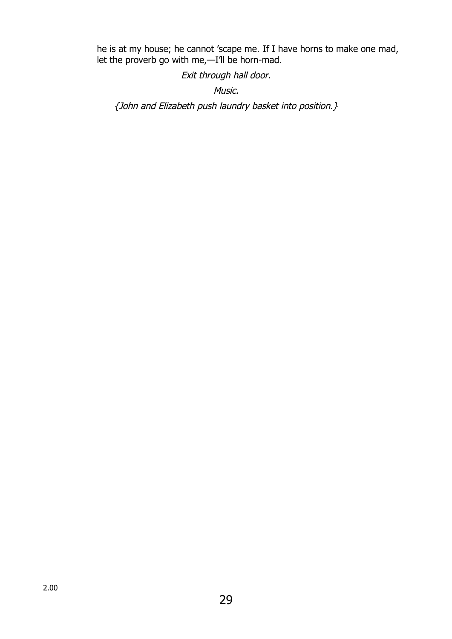he is at my house; he cannot 'scape me. If I have horns to make one mad, let the proverb go with me,—I'll be horn-mad.

Exit through hall door.

Music.

{John and Elizabeth push laundry basket into position.}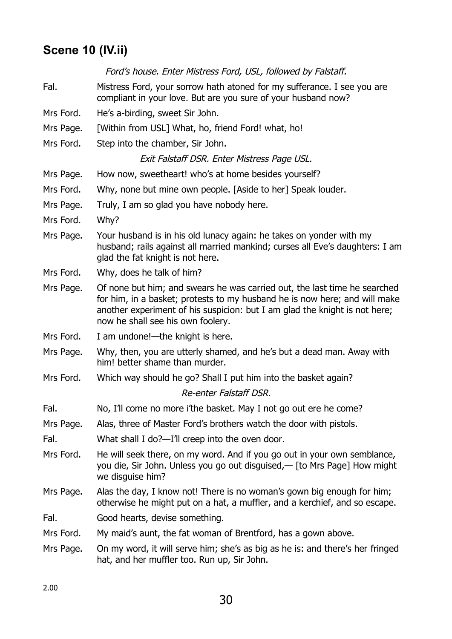### **Scene 10 (IV.ii)**

### Ford's house. Enter Mistress Ford, USL, followed by Falstaff.

- Fal. Mistress Ford, your sorrow hath atoned for my sufferance. I see you are compliant in your love. But are you sure of your husband now?
- Mrs Ford. He's a-birding, sweet Sir John.
- Mrs Page. [Within from USL] What, ho, friend Ford! what, ho!
- Mrs Ford. Step into the chamber, Sir John.

### Exit Falstaff DSR. Enter Mistress Page USL.

- Mrs Page. How now, sweetheart! who's at home besides yourself?
- Mrs Ford. Why, none but mine own people. [Aside to her] Speak louder.
- Mrs Page. Truly, I am so glad you have nobody here.
- Mrs Ford. Why?
- Mrs Page. Your husband is in his old lunacy again: he takes on yonder with my husband; rails against all married mankind; curses all Eve's daughters: I am glad the fat knight is not here.
- Mrs Ford. Why, does he talk of him?
- Mrs Page. Of none but him; and swears he was carried out, the last time he searched for him, in a basket; protests to my husband he is now here; and will make another experiment of his suspicion: but I am glad the knight is not here; now he shall see his own foolery.
- Mrs Ford. I am undone!—the knight is here.
- Mrs Page. Why, then, you are utterly shamed, and he's but a dead man. Away with him! better shame than murder.
- Mrs Ford. Which way should he go? Shall I put him into the basket again?

#### Re-enter Falstaff DSR.

- Fal. No, I'll come no more i'the basket. May I not go out ere he come?
- Mrs Page. Alas, three of Master Ford's brothers watch the door with pistols.
- Fal. What shall I do?—I'll creep into the oven door.
- Mrs Ford. He will seek there, on my word. And if you go out in your own semblance, you die, Sir John. Unless you go out disguised,— [to Mrs Page] How might we disguise him?
- Mrs Page. Alas the day, I know not! There is no woman's gown big enough for him; otherwise he might put on a hat, a muffler, and a kerchief, and so escape.
- Fal. Good hearts, devise something.
- Mrs Ford. My maid's aunt, the fat woman of Brentford, has a gown above.
- Mrs Page. On my word, it will serve him; she's as big as he is: and there's her fringed hat, and her muffler too. Run up, Sir John.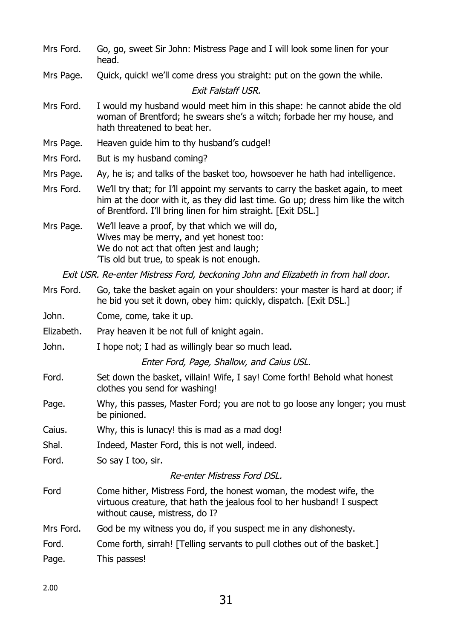- Mrs Ford. Go, go, sweet Sir John: Mistress Page and I will look some linen for your head.
- Mrs Page. Quick, quick! we'll come dress you straight: put on the gown the while.

#### Exit Falstaff USR.

- Mrs Ford. I would my husband would meet him in this shape: he cannot abide the old woman of Brentford; he swears she's a witch; forbade her my house, and hath threatened to beat her.
- Mrs Page. Heaven guide him to thy husband's cudgel!
- Mrs Ford. But is my husband coming?
- Mrs Page. Ay, he is; and talks of the basket too, howsoever he hath had intelligence.
- Mrs Ford. We'll try that; for I'll appoint my servants to carry the basket again, to meet him at the door with it, as they did last time. Go up; dress him like the witch of Brentford. I'll bring linen for him straight. [Exit DSL.]
- Mrs Page. We'll leave a proof, by that which we will do, Wives may be merry, and yet honest too: We do not act that often jest and laugh; 'Tis old but true, to speak is not enough.

Exit USR. Re-enter Mistress Ford, beckoning John and Elizabeth in from hall door.

- Mrs Ford. Go, take the basket again on your shoulders: your master is hard at door; if he bid you set it down, obey him: quickly, dispatch. [Exit DSL.]
- John. Come, come, take it up.
- Elizabeth. Pray heaven it be not full of knight again.
- John. I hope not; I had as willingly bear so much lead.

Enter Ford, Page, Shallow, and Caius USL.

- Ford. Set down the basket, villain! Wife, I say! Come forth! Behold what honest clothes you send for washing!
- Page. Why, this passes, Master Ford; you are not to go loose any longer; you must be pinioned.
- Caius. Why, this is lunacy! this is mad as a mad dog!
- Shal. Indeed, Master Ford, this is not well, indeed.

Ford. So say I too, sir.

### Re-enter Mistress Ford DSL.

- Ford Come hither, Mistress Ford, the honest woman, the modest wife, the virtuous creature, that hath the jealous fool to her husband! I suspect without cause, mistress, do I?
- Mrs Ford. God be my witness you do, if you suspect me in any dishonesty.

Ford. Come forth, sirrah! [Telling servants to pull clothes out of the basket.] Page. This passes!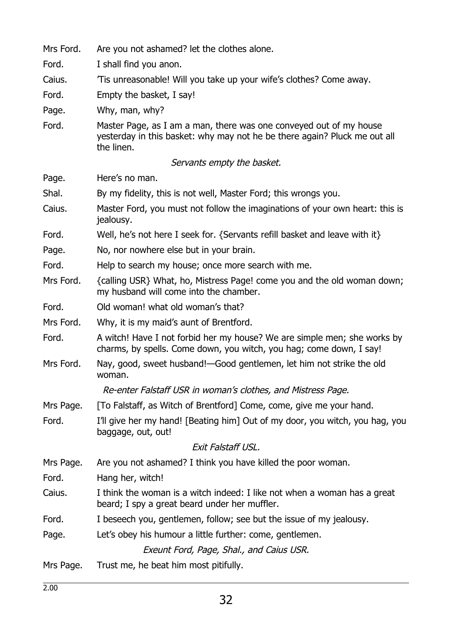| Mrs Ford. | Are you not ashamed? let the clothes alone.                                                                                                                   |
|-----------|---------------------------------------------------------------------------------------------------------------------------------------------------------------|
| Ford.     | I shall find you anon.                                                                                                                                        |
| Caius.    | Tis unreasonable! Will you take up your wife's clothes? Come away.                                                                                            |
| Ford.     | Empty the basket, I say!                                                                                                                                      |
| Page.     | Why, man, why?                                                                                                                                                |
| Ford.     | Master Page, as I am a man, there was one conveyed out of my house<br>yesterday in this basket: why may not he be there again? Pluck me out all<br>the linen. |
|           | Servants empty the basket.                                                                                                                                    |
| Page.     | Here's no man.                                                                                                                                                |
| Shal.     | By my fidelity, this is not well, Master Ford; this wrongs you.                                                                                               |
| Caius.    | Master Ford, you must not follow the imaginations of your own heart: this is<br>jealousy.                                                                     |
| Ford.     | Well, he's not here I seek for. {Servants refill basket and leave with it}                                                                                    |
| Page.     | No, nor nowhere else but in your brain.                                                                                                                       |
| Ford.     | Help to search my house; once more search with me.                                                                                                            |
| Mrs Ford. | {calling USR} What, ho, Mistress Page! come you and the old woman down;<br>my husband will come into the chamber.                                             |
| Ford.     | Old woman! what old woman's that?                                                                                                                             |
| Mrs Ford. | Why, it is my maid's aunt of Brentford.                                                                                                                       |
| Ford.     | A witch! Have I not forbid her my house? We are simple men; she works by<br>charms, by spells. Come down, you witch, you hag; come down, I say!               |
| Mrs Ford. | Nay, good, sweet husband!—Good gentlemen, let him not strike the old<br>woman.                                                                                |
|           | Re-enter Falstaff USR in woman's clothes, and Mistress Page.                                                                                                  |
| Mrs Page. | [To Falstaff, as Witch of Brentford] Come, come, give me your hand.                                                                                           |
| Ford.     | I'll give her my hand! [Beating him] Out of my door, you witch, you hag, you<br>baggage, out, out!                                                            |
|           | Exit Falstaff USL.                                                                                                                                            |
| Mrs Page. | Are you not ashamed? I think you have killed the poor woman.                                                                                                  |
| Ford.     | Hang her, witch!                                                                                                                                              |
| Caius.    | I think the woman is a witch indeed: I like not when a woman has a great<br>beard; I spy a great beard under her muffler.                                     |
| Ford.     | I beseech you, gentlemen, follow; see but the issue of my jealousy.                                                                                           |
| Page.     | Let's obey his humour a little further: come, gentlemen.                                                                                                      |
|           | Exeunt Ford, Page, Shal., and Caius USR.                                                                                                                      |
| Mrs Page. | Trust me, he beat him most pitifully.                                                                                                                         |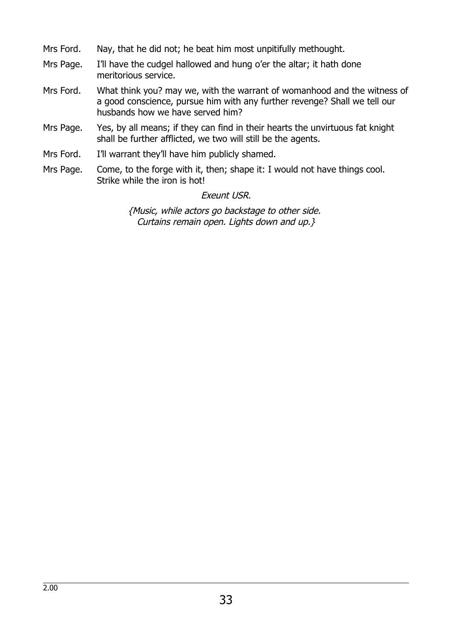- Mrs Ford. Nay, that he did not; he beat him most unpitifully methought.
- Mrs Page. I'll have the cudgel hallowed and hung o'er the altar; it hath done meritorious service.
- Mrs Ford. What think you? may we, with the warrant of womanhood and the witness of a good conscience, pursue him with any further revenge? Shall we tell our husbands how we have served him?
- Mrs Page. Yes, by all means; if they can find in their hearts the unvirtuous fat knight shall be further afflicted, we two will still be the agents.
- Mrs Ford. I'll warrant they'll have him publicly shamed.
- Mrs Page. Come, to the forge with it, then; shape it: I would not have things cool. Strike while the iron is hot!

#### Exeunt USR.

{Music, while actors go backstage to other side. Curtains remain open. Lights down and up.}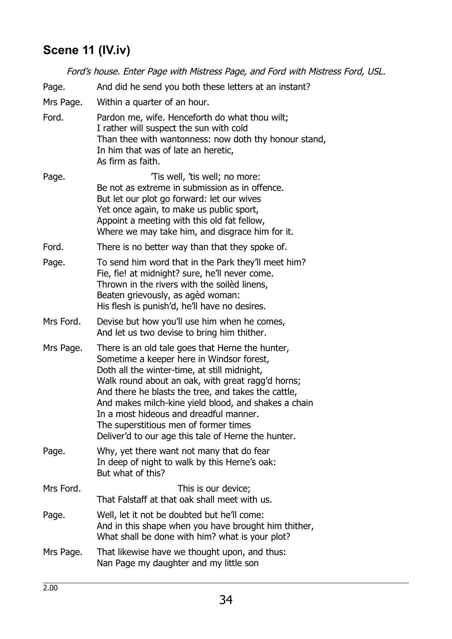# **Scene 11 (IV.iv)**

| Ford's house. Enter Page with Mistress Page, and Ford with Mistress Ford, USL. |                                                                                                                                                                                                                                                                                                                                                                                                                                                             |  |
|--------------------------------------------------------------------------------|-------------------------------------------------------------------------------------------------------------------------------------------------------------------------------------------------------------------------------------------------------------------------------------------------------------------------------------------------------------------------------------------------------------------------------------------------------------|--|
| Page.                                                                          | And did he send you both these letters at an instant?                                                                                                                                                                                                                                                                                                                                                                                                       |  |
| Mrs Page.                                                                      | Within a quarter of an hour.                                                                                                                                                                                                                                                                                                                                                                                                                                |  |
| Ford.                                                                          | Pardon me, wife. Henceforth do what thou wilt;<br>I rather will suspect the sun with cold<br>Than thee with wantonness: now doth thy honour stand,<br>In him that was of late an heretic,<br>As firm as faith.                                                                                                                                                                                                                                              |  |
| Page.                                                                          | Tis well, 'tis well; no more:<br>Be not as extreme in submission as in offence.<br>But let our plot go forward: let our wives<br>Yet once again, to make us public sport,<br>Appoint a meeting with this old fat fellow,<br>Where we may take him, and disgrace him for it.                                                                                                                                                                                 |  |
| Ford.                                                                          | There is no better way than that they spoke of.                                                                                                                                                                                                                                                                                                                                                                                                             |  |
| Page.                                                                          | To send him word that in the Park they'll meet him?<br>Fie, fie! at midnight? sure, he'll never come.<br>Thrown in the rivers with the soiled linens,<br>Beaten grievously, as agèd woman:<br>His flesh is punish'd, he'll have no desires.                                                                                                                                                                                                                 |  |
| Mrs Ford.                                                                      | Devise but how you'll use him when he comes,<br>And let us two devise to bring him thither.                                                                                                                                                                                                                                                                                                                                                                 |  |
| Mrs Page.                                                                      | There is an old tale goes that Herne the hunter,<br>Sometime a keeper here in Windsor forest,<br>Doth all the winter-time, at still midnight,<br>Walk round about an oak, with great ragg'd horns;<br>And there he blasts the tree, and takes the cattle,<br>And makes milch-kine yield blood, and shakes a chain<br>In a most hideous and dreadful manner.<br>The superstitious men of former times<br>Deliver'd to our age this tale of Herne the hunter. |  |
| Page.                                                                          | Why, yet there want not many that do fear<br>In deep of night to walk by this Herne's oak:<br>But what of this?                                                                                                                                                                                                                                                                                                                                             |  |
| Mrs Ford.                                                                      | This is our device;<br>That Falstaff at that oak shall meet with us.                                                                                                                                                                                                                                                                                                                                                                                        |  |
| Page.                                                                          | Well, let it not be doubted but he'll come:<br>And in this shape when you have brought him thither,<br>What shall be done with him? what is your plot?                                                                                                                                                                                                                                                                                                      |  |
| Mrs Page.                                                                      | That likewise have we thought upon, and thus:<br>Nan Page my daughter and my little son                                                                                                                                                                                                                                                                                                                                                                     |  |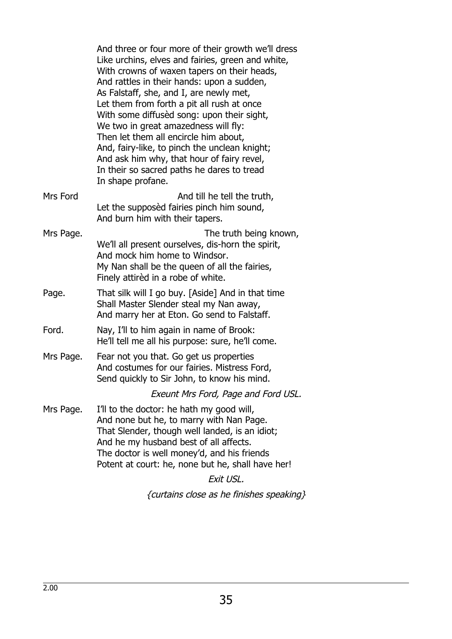|           | And three or four more of their growth we'll dress<br>Like urchins, elves and fairies, green and white,<br>With crowns of waxen tapers on their heads,<br>And rattles in their hands: upon a sudden,<br>As Falstaff, she, and I, are newly met,<br>Let them from forth a pit all rush at once<br>With some diffused song: upon their sight,<br>We two in great amazedness will fly:<br>Then let them all encircle him about,<br>And, fairy-like, to pinch the unclean knight;<br>And ask him why, that hour of fairy revel,<br>In their so sacred paths he dares to tread<br>In shape profane. |
|-----------|------------------------------------------------------------------------------------------------------------------------------------------------------------------------------------------------------------------------------------------------------------------------------------------------------------------------------------------------------------------------------------------------------------------------------------------------------------------------------------------------------------------------------------------------------------------------------------------------|
| Mrs Ford  | And till he tell the truth,<br>Let the supposèd fairies pinch him sound,<br>And burn him with their tapers.                                                                                                                                                                                                                                                                                                                                                                                                                                                                                    |
| Mrs Page. | The truth being known,<br>We'll all present ourselves, dis-horn the spirit,<br>And mock him home to Windsor.<br>My Nan shall be the queen of all the fairies,<br>Finely attired in a robe of white.                                                                                                                                                                                                                                                                                                                                                                                            |
| Page.     | That silk will I go buy. [Aside] And in that time<br>Shall Master Slender steal my Nan away,<br>And marry her at Eton. Go send to Falstaff.                                                                                                                                                                                                                                                                                                                                                                                                                                                    |
| Ford.     | Nay, I'll to him again in name of Brook:<br>He'll tell me all his purpose: sure, he'll come.                                                                                                                                                                                                                                                                                                                                                                                                                                                                                                   |
| Mrs Page. | Fear not you that. Go get us properties<br>And costumes for our fairies. Mistress Ford,<br>Send quickly to Sir John, to know his mind.                                                                                                                                                                                                                                                                                                                                                                                                                                                         |
|           | Exeunt Mrs Ford, Page and Ford USL.                                                                                                                                                                                                                                                                                                                                                                                                                                                                                                                                                            |
| Mrs Page. | I'll to the doctor: he hath my good will,<br>And none but he, to marry with Nan Page.<br>That Slender, though well landed, is an idiot;<br>And he my husband best of all affects.<br>The doctor is well money'd, and his friends<br>Potent at court: he, none but he, shall have her!                                                                                                                                                                                                                                                                                                          |

### Exit USL.

{curtains close as he finishes speaking}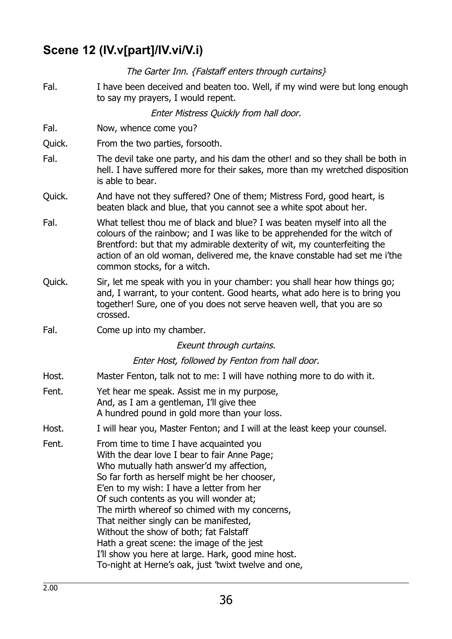### **Scene 12 (IV.v[part]/IV.vi/V.i)**

The Garter Inn. {Falstaff enters through curtains}

Fal. I have been deceived and beaten too. Well, if my wind were but long enough to say my prayers, I would repent.

Enter Mistress Quickly from hall door.

- Fal. Now, whence come you?
- Quick. From the two parties, forsooth.
- Fal. The devil take one party, and his dam the other! and so they shall be both in hell. I have suffered more for their sakes, more than my wretched disposition is able to bear.
- Quick. And have not they suffered? One of them; Mistress Ford, good heart, is beaten black and blue, that you cannot see a white spot about her.
- Fal. What tellest thou me of black and blue? I was beaten myself into all the colours of the rainbow; and I was like to be apprehended for the witch of Brentford: but that my admirable dexterity of wit, my counterfeiting the action of an old woman, delivered me, the knave constable had set me i'the common stocks, for a witch.
- Quick. Sir, let me speak with you in your chamber: you shall hear how things go; and, I warrant, to your content. Good hearts, what ado here is to bring you together! Sure, one of you does not serve heaven well, that you are so crossed.
- Fal. Come up into my chamber.

Exeunt through curtains.

Enter Host, followed by Fenton from hall door.

- Host. Master Fenton, talk not to me: I will have nothing more to do with it.
- Fent. Yet hear me speak. Assist me in my purpose, And, as I am a gentleman, I'll give thee A hundred pound in gold more than your loss.
- Host. I will hear you, Master Fenton; and I will at the least keep your counsel.
- Fent. From time to time I have acquainted you With the dear love I bear to fair Anne Page; Who mutually hath answer'd my affection, So far forth as herself might be her chooser, E'en to my wish: I have a letter from her Of such contents as you will wonder at; The mirth whereof so chimed with my concerns, That neither singly can be manifested, Without the show of both; fat Falstaff Hath a great scene: the image of the jest I'll show you here at large. Hark, good mine host. To-night at Herne's oak, just 'twixt twelve and one,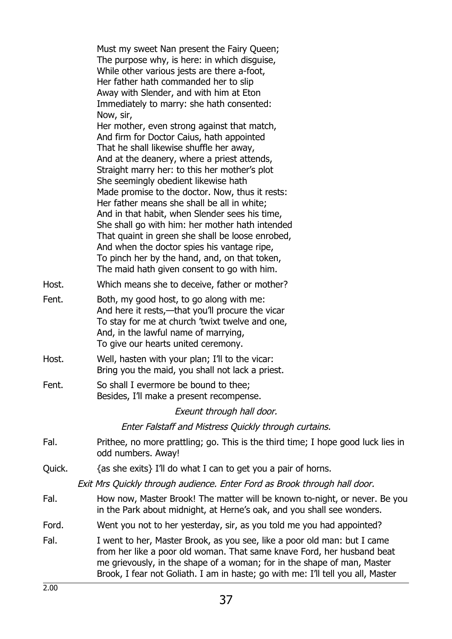|        | Must my sweet Nan present the Fairy Queen;<br>The purpose why, is here: in which disguise,<br>While other various jests are there a-foot,<br>Her father hath commanded her to slip<br>Away with Slender, and with him at Eton<br>Immediately to marry: she hath consented:<br>Now, sir,<br>Her mother, even strong against that match,<br>And firm for Doctor Caius, hath appointed<br>That he shall likewise shuffle her away,<br>And at the deanery, where a priest attends,<br>Straight marry her: to this her mother's plot<br>She seemingly obedient likewise hath<br>Made promise to the doctor. Now, thus it rests:<br>Her father means she shall be all in white;<br>And in that habit, when Slender sees his time,<br>She shall go with him: her mother hath intended<br>That quaint in green she shall be loose enrobed,<br>And when the doctor spies his vantage ripe,<br>To pinch her by the hand, and, on that token, |
|--------|------------------------------------------------------------------------------------------------------------------------------------------------------------------------------------------------------------------------------------------------------------------------------------------------------------------------------------------------------------------------------------------------------------------------------------------------------------------------------------------------------------------------------------------------------------------------------------------------------------------------------------------------------------------------------------------------------------------------------------------------------------------------------------------------------------------------------------------------------------------------------------------------------------------------------------|
|        | The maid hath given consent to go with him.                                                                                                                                                                                                                                                                                                                                                                                                                                                                                                                                                                                                                                                                                                                                                                                                                                                                                        |
| Host.  | Which means she to deceive, father or mother?                                                                                                                                                                                                                                                                                                                                                                                                                                                                                                                                                                                                                                                                                                                                                                                                                                                                                      |
| Fent.  | Both, my good host, to go along with me:<br>And here it rests,—that you'll procure the vicar<br>To stay for me at church 'twixt twelve and one,<br>And, in the lawful name of marrying,<br>To give our hearts united ceremony.                                                                                                                                                                                                                                                                                                                                                                                                                                                                                                                                                                                                                                                                                                     |
| Host.  | Well, hasten with your plan; I'll to the vicar:<br>Bring you the maid, you shall not lack a priest.                                                                                                                                                                                                                                                                                                                                                                                                                                                                                                                                                                                                                                                                                                                                                                                                                                |
| Fent.  | So shall I evermore be bound to thee;<br>Besides, I'll make a present recompense.                                                                                                                                                                                                                                                                                                                                                                                                                                                                                                                                                                                                                                                                                                                                                                                                                                                  |
|        | Exeunt through hall door.                                                                                                                                                                                                                                                                                                                                                                                                                                                                                                                                                                                                                                                                                                                                                                                                                                                                                                          |
|        | Enter Falstaff and Mistress Quickly through curtains.                                                                                                                                                                                                                                                                                                                                                                                                                                                                                                                                                                                                                                                                                                                                                                                                                                                                              |
| Fal.   | Prithee, no more prattling; go. This is the third time; I hope good luck lies in<br>odd numbers. Away!                                                                                                                                                                                                                                                                                                                                                                                                                                                                                                                                                                                                                                                                                                                                                                                                                             |
| Quick. | $\{as she exists\}$ I'll do what I can to get you a pair of horns.                                                                                                                                                                                                                                                                                                                                                                                                                                                                                                                                                                                                                                                                                                                                                                                                                                                                 |
|        | Exit Mrs Quickly through audience. Enter Ford as Brook through hall door.                                                                                                                                                                                                                                                                                                                                                                                                                                                                                                                                                                                                                                                                                                                                                                                                                                                          |
| Fal.   | How now, Master Brook! The matter will be known to-night, or never. Be you<br>in the Park about midnight, at Herne's oak, and you shall see wonders.                                                                                                                                                                                                                                                                                                                                                                                                                                                                                                                                                                                                                                                                                                                                                                               |
| Ford.  | Went you not to her yesterday, sir, as you told me you had appointed?                                                                                                                                                                                                                                                                                                                                                                                                                                                                                                                                                                                                                                                                                                                                                                                                                                                              |
| Fal.   | I went to her, Master Brook, as you see, like a poor old man: but I came<br>from her like a poor old woman. That same knave Ford, her husband beat<br>me grievously, in the shape of a woman; for in the shape of man, Master<br>Brook, I fear not Goliath. I am in haste; go with me: I'll tell you all, Master                                                                                                                                                                                                                                                                                                                                                                                                                                                                                                                                                                                                                   |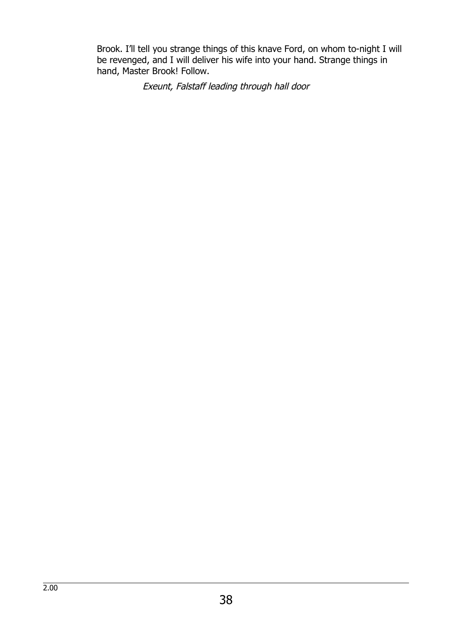Brook. I'll tell you strange things of this knave Ford, on whom to-night I will be revenged, and I will deliver his wife into your hand. Strange things in hand, Master Brook! Follow.

Exeunt, Falstaff leading through hall door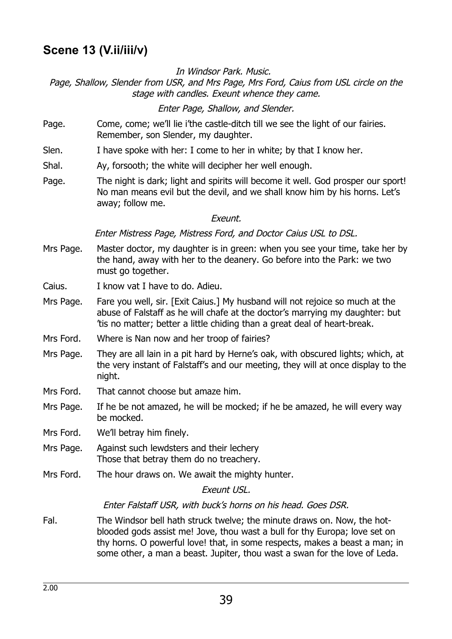### **Scene 13 (V.ii/iii/v)**

In Windsor Park. Music.

Page, Shallow, Slender from USR, and Mrs Page, Mrs Ford, Caius from USL circle on the stage with candles. Exeunt whence they came.

Enter Page, Shallow, and Slender.

- Page. Come, come; we'll lie i'the castle-ditch till we see the light of our fairies. Remember, son Slender, my daughter.
- Slen. I have spoke with her: I come to her in white; by that I know her.
- Shal. Ay, forsooth; the white will decipher her well enough.
- Page. The night is dark; light and spirits will become it well. God prosper our sport! No man means evil but the devil, and we shall know him by his horns. Let's away; follow me.

Exeunt.

Enter Mistress Page, Mistress Ford, and Doctor Caius USL to DSL.

- Mrs Page. Master doctor, my daughter is in green: when you see your time, take her by the hand, away with her to the deanery. Go before into the Park: we two must go together.
- Caius. I know vat I have to do. Adieu.
- Mrs Page. Fare you well, sir. [Exit Caius.] My husband will not rejoice so much at the abuse of Falstaff as he will chafe at the doctor's marrying my daughter: but 'tis no matter; better a little chiding than a great deal of heart-break.
- Mrs Ford. Where is Nan now and her troop of fairies?
- Mrs Page. They are all lain in a pit hard by Herne's oak, with obscured lights; which, at the very instant of Falstaff's and our meeting, they will at once display to the night.
- Mrs Ford. That cannot choose but amaze him.
- Mrs Page. If he be not amazed, he will be mocked; if he be amazed, he will every way be mocked.
- Mrs Ford. We'll betray him finely.
- Mrs Page. Against such lewdsters and their lechery Those that betray them do no treachery.
- Mrs Ford. The hour draws on. We await the mighty hunter.

#### Exeunt USL.

#### Enter Falstaff USR, with buck's horns on his head. Goes DSR.

Fal. The Windsor bell hath struck twelve; the minute draws on. Now, the hotblooded gods assist me! Jove, thou wast a bull for thy Europa; love set on thy horns. O powerful love! that, in some respects, makes a beast a man; in some other, a man a beast. Jupiter, thou wast a swan for the love of Leda.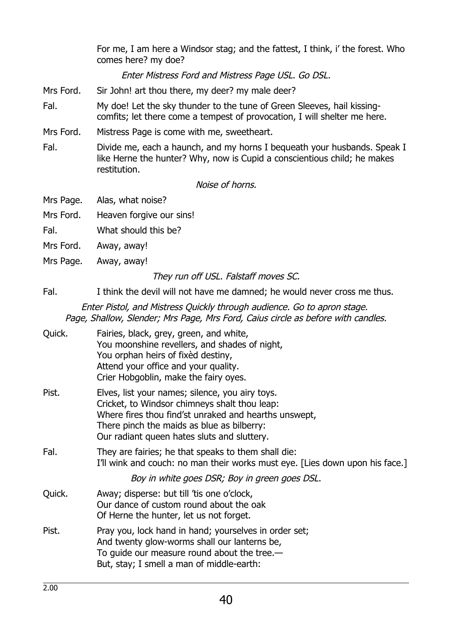For me, I am here a Windsor stag; and the fattest, I think, i' the forest. Who comes here? my doe?

Enter Mistress Ford and Mistress Page USL. Go DSL.

- Mrs Ford. Sir John! art thou there, my deer? my male deer?
- Fal. My doe! Let the sky thunder to the tune of Green Sleeves, hail kissingcomfits; let there come a tempest of provocation, I will shelter me here.
- Mrs Ford. Mistress Page is come with me, sweetheart.
- Fal. Divide me, each a haunch, and my horns I bequeath your husbands. Speak I like Herne the hunter? Why, now is Cupid a conscientious child; he makes restitution.

Noise of horns.

- Mrs Page. Alas, what noise?
- Mrs Ford. Heaven forgive our sins!
- Fal. What should this be?
- Mrs Ford. Away, away!
- Mrs Page. Away, away!

They run off USL. Falstaff moves SC.

Fal. I think the devil will not have me damned; he would never cross me thus.

Enter Pistol, and Mistress Quickly through audience. Go to apron stage. Page, Shallow, Slender; Mrs Page, Mrs Ford, Caius circle as before with candles.

| Quick. | Fairies, black, grey, green, and white,<br>You moonshine revellers, and shades of night,<br>You orphan heirs of fixed destiny,<br>Attend your office and your quality.<br>Crier Hobgoblin, make the fairy oyes.                                        |
|--------|--------------------------------------------------------------------------------------------------------------------------------------------------------------------------------------------------------------------------------------------------------|
| Pist.  | Elves, list your names; silence, you airy toys.<br>Cricket, to Windsor chimneys shalt thou leap:<br>Where fires thou find'st unraked and hearths unswept,<br>There pinch the maids as blue as bilberry:<br>Our radiant queen hates sluts and sluttery. |
| Fal.   | They are fairies; he that speaks to them shall die:<br>I'll wink and couch: no man their works must eye. [Lies down upon his face.]                                                                                                                    |
|        | Boy in white goes DSR; Boy in green goes DSL.                                                                                                                                                                                                          |
| Quick. | Away; disperse: but till 'tis one o'clock,<br>Our dance of custom round about the oak<br>Of Herne the hunter, let us not forget.                                                                                                                       |
| Pist.  | Pray you, lock hand in hand; yourselves in order set;<br>And twenty glow-worms shall our lanterns be,<br>To guide our measure round about the tree. $-$<br>But, stay; I smell a man of middle-earth:                                                   |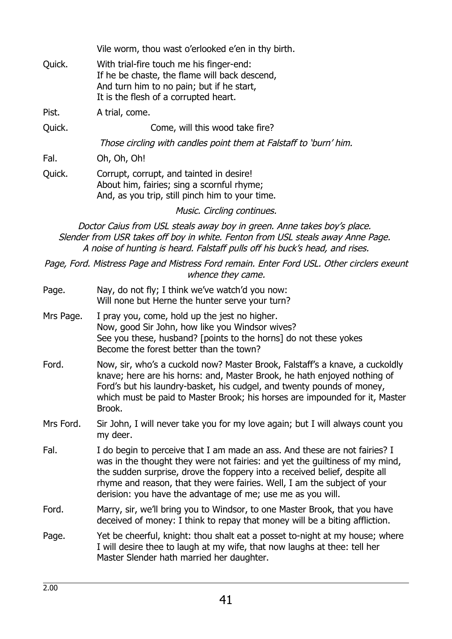Vile worm, thou wast o'erlooked e'en in thy birth.

Quick. With trial-fire touch me his finger-end: If he be chaste, the flame will back descend, And turn him to no pain; but if he start, It is the flesh of a corrupted heart.

Pist. A trial, come.

Quick. Come, will this wood take fire?

Those circling with candles point them at Falstaff to 'burn' him.

Fal. Oh, Oh, Oh!

Quick. Corrupt, corrupt, and tainted in desire! About him, fairies; sing a scornful rhyme; And, as you trip, still pinch him to your time.

Music. Circling continues.

Doctor Caius from USL steals away boy in green. Anne takes boy's place. Slender from USR takes off boy in white. Fenton from USL steals away Anne Page. A noise of hunting is heard. Falstaff pulls off his buck's head, and rises.

Page, Ford. Mistress Page and Mistress Ford remain. Enter Ford USL. Other circlers exeunt whence they came.

| Page.     | Nay, do not fly; I think we've watch'd you now:<br>Will none but Herne the hunter serve your turn?                                                                                                                                                                                                                                                                                  |
|-----------|-------------------------------------------------------------------------------------------------------------------------------------------------------------------------------------------------------------------------------------------------------------------------------------------------------------------------------------------------------------------------------------|
| Mrs Page. | I pray you, come, hold up the jest no higher.<br>Now, good Sir John, how like you Windsor wives?<br>See you these, husband? [points to the horns] do not these yokes<br>Become the forest better than the town?                                                                                                                                                                     |
| Ford.     | Now, sir, who's a cuckold now? Master Brook, Falstaff's a knave, a cuckoldly<br>knave; here are his horns: and, Master Brook, he hath enjoyed nothing of<br>Ford's but his laundry-basket, his cudgel, and twenty pounds of money,<br>which must be paid to Master Brook; his horses are impounded for it, Master<br>Brook.                                                         |
| Mrs Ford. | Sir John, I will never take you for my love again; but I will always count you<br>my deer.                                                                                                                                                                                                                                                                                          |
| Fal.      | I do begin to perceive that I am made an ass. And these are not fairies? I<br>was in the thought they were not fairies: and yet the guiltiness of my mind,<br>the sudden surprise, drove the foppery into a received belief, despite all<br>rhyme and reason, that they were fairies. Well, I am the subject of your<br>derision: you have the advantage of me; use me as you will. |
| Ford.     | Marry, sir, we'll bring you to Windsor, to one Master Brook, that you have<br>deceived of money: I think to repay that money will be a biting affliction.                                                                                                                                                                                                                           |
| Page.     | Yet be cheerful, knight: thou shalt eat a posset to-night at my house; where<br>I will desire thee to laugh at my wife, that now laughs at thee: tell her<br>Master Slender hath married her daughter.                                                                                                                                                                              |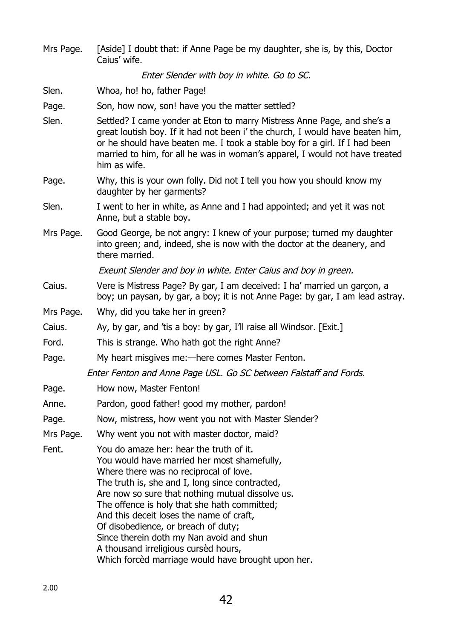Mrs Page. [Aside] I doubt that: if Anne Page be my daughter, she is, by this, Doctor Caius' wife. Enter Slender with boy in white. Go to SC. Slen. Whoa, ho! ho, father Page! Page. Son, how now, son! have you the matter settled? Slen. Settled? I came yonder at Eton to marry Mistress Anne Page, and she's a great loutish boy. If it had not been i' the church, I would have beaten him, or he should have beaten me. I took a stable boy for a girl. If I had been married to him, for all he was in woman's apparel, I would not have treated him as wife. Page. Why, this is your own folly. Did not I tell you how you should know my daughter by her garments? Slen. I went to her in white, as Anne and I had appointed; and yet it was not Anne, but a stable boy. Mrs Page. Good George, be not angry: I knew of your purpose; turned my daughter into green; and, indeed, she is now with the doctor at the deanery, and there married. Exeunt Slender and boy in white. Enter Caius and boy in green. Caius. Vere is Mistress Page? By gar, I am deceived: I ha' married un garçon, a boy; un paysan, by gar, a boy; it is not Anne Page: by gar, I am lead astray. Mrs Page. Why, did you take her in green? Caius. Ay, by gar, and 'tis a boy: by gar, I'll raise all Windsor. [Exit.] Ford. This is strange. Who hath got the right Anne? Page. My heart misgives me:—here comes Master Fenton. Enter Fenton and Anne Page USL. Go SC between Falstaff and Fords. Page. How now, Master Fenton! Anne. Pardon, good father! good my mother, pardon! Page. Now, mistress, how went you not with Master Slender? Mrs Page. Why went you not with master doctor, maid? Fent. You do amaze her: hear the truth of it. You would have married her most shamefully, Where there was no reciprocal of love. The truth is, she and I, long since contracted, Are now so sure that nothing mutual dissolve us. The offence is holy that she hath committed; And this deceit loses the name of craft, Of disobedience, or breach of duty; Since therein doth my Nan avoid and shun A thousand irreligious cursèd hours, Which forcèd marriage would have brought upon her.